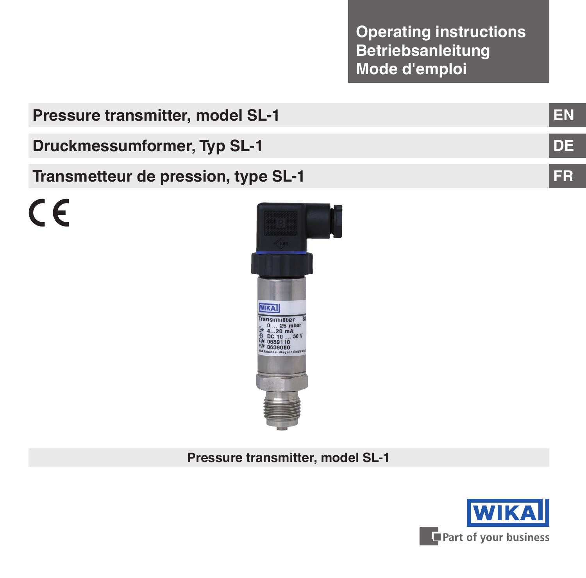| <b>Pressure transmitter, model SL-1</b> | IEN  |
|-----------------------------------------|------|
| <b>Druckmessumformer, Typ SL-1</b>      | DE   |
| Transmetteur de pression, type SL-1     | I FR |





**Pressure transmitter, model SL-1**

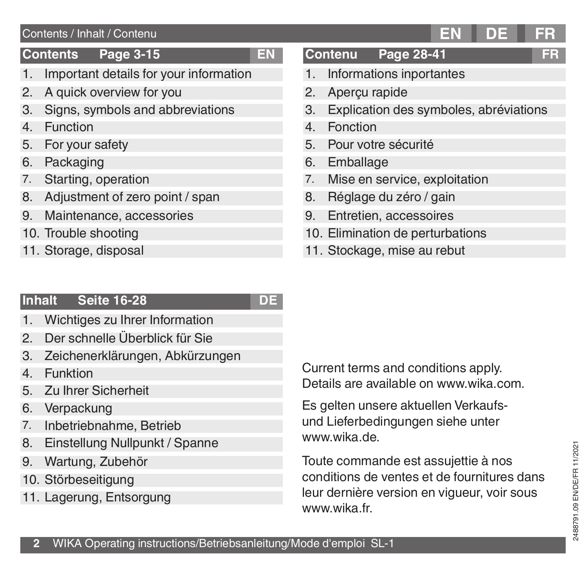#### **Contents Page 3-15 EN**

- 
- 1. Important details for your information
- 2. A quick overview for you
- 3. Signs, symbols and abbreviations
- 4. Function
- 5. For your safety
- 6. Packaging
- 7. Starting, operation
- 8. Adjustment of zero point / span
- 9. Maintenance, accessories
- 10. Trouble shooting
- 11. Storage, disposal

#### **Contenu Page 28-41 FR**

- 1. Informations inportantes
- 2. Aperçu rapide
- 3. Explication des symboles, abréviations
- 4. Fonction
- 5. Pour votre sécurité
- 6. Emballage
- 7. Mise en service, exploitation
- 8. Réglage du zéro / gain
- 9. Entretien, accessoires
- 10. Elimination de perturbations
- 11. Stockage, mise au rebut

#### **Inhalt Seite 16-28 DE**

- 1. Wichtiges zu Ihrer Information
- 2. Der schnelle Überblick für Sie
- 3. Zeichenerklärungen, Abkürzungen
- 4. Funktion
- 5. Zu Ihrer Sicherheit
- 6. Verpackung
- 7. Inbetriebnahme, Betrieb
- 8. Einstellung Nullpunkt / Spanne
- 9. Wartung, Zubehör
- 10. Störbeseitigung
- 11. Lagerung, Entsorgung

Current terms and conditions apply. Details are available on www.wika.com.

Es gelten unsere aktuellen Verkaufsund Lieferbedingungen siehe unter www.wika.de.

Toute commande est assujettie à nos conditions de ventes et de fournitures dans leur dernière version en vigueur, voir sous www.wika.fr.

## Contents / Inhalt / Contenu **EN DE FR**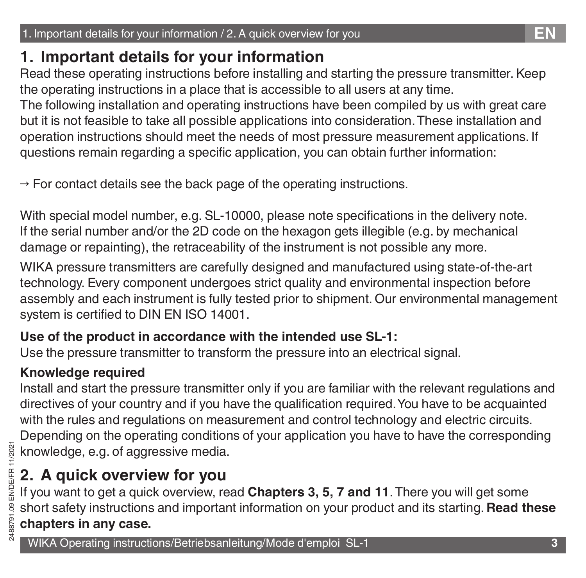# **1. Important details for your information**

Read these operating instructions before installing and starting the pressure transmitter. Keep the operating instructions in a place that is accessible to all users at any time.

The following installation and operating instructions have been compiled by us with great care but it is not feasible to take all possible applications into consideration. These installation and operation instructions should meet the needs of most pressure measurement applications. If questions remain regarding a specific application, you can obtain further information:

 $\rightarrow$  For contact details see the back page of the operating instructions.

With special model number, e.g. SL-10000, please note specifications in the delivery note. If the serial number and/or the 2D code on the hexagon gets illegible (e.g. by mechanical damage or repainting), the retraceability of the instrument is not possible any more.

WIKA pressure transmitters are carefully designed and manufactured using state-of-the-art technology. Every component undergoes strict quality and environmental inspection before assembly and each instrument is fully tested prior to shipment. Our environmental management system is certified to DIN EN ISO 14001.

#### **Use of the product in accordance with the intended use SL-1:**

Use the pressure transmitter to transform the pressure into an electrical signal.

### **Knowledge required**

2488791.09 EN/DE/FR 11/2021

2488791.09 EN/DE/FR

1/2021

Install and start the pressure transmitter only if you are familiar with the relevant regulations and directives of your country and if you have the qualification required. You have to be acquainted with the rules and regulations on measurement and control technology and electric circuits. Depending on the operating conditions of your application you have to have the corresponding knowledge, e.g. of aggressive media.

# **2. A quick overview for you**

If you want to get a quick overview, read **Chapters 3, 5, 7 and 11**. There you will get some short safety instructions and important information on your product and its starting. **Read these chapters in any case.**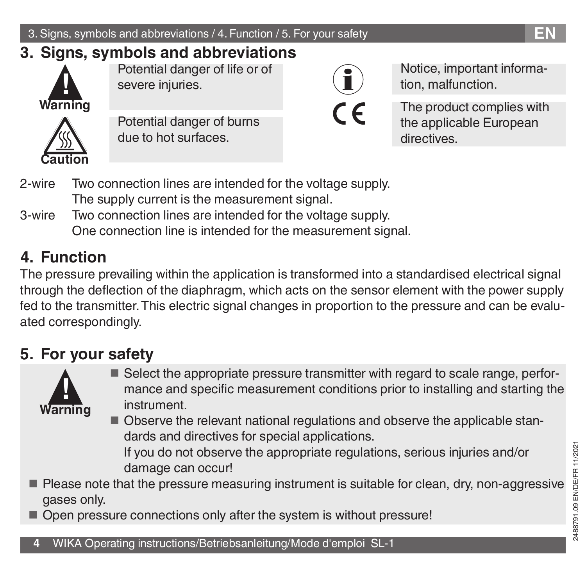# **3. Signs, symbols and abbreviations**



Potential danger of life or of severe injuries.



Potential danger of burns due to hot surfaces.



Notice, important information, malfunction.

The product complies with the applicable European directives.

- 2-wire Two connection lines are intended for the voltage supply. The supply current is the measurement signal.
- 3-wire Two connection lines are intended for the voltage supply. One connection line is intended for the measurement signal.

# **4. Function**

The pressure prevailing within the application is transformed into a standardised electrical signal through the deflection of the diaphragm, which acts on the sensor element with the power supply fed to the transmitter. This electric signal changes in proportion to the pressure and can be evaluated correspondingly.

# **5. For your safety**



- Select the appropriate pressure transmitter with regard to scale range, performance and specific measurement conditions prior to installing and starting the instrument.
- Observe the relevant national regulations and observe the applicable standards and directives for special applications.

If you do not observe the appropriate regulations, serious injuries and/or damage can occur!

- Please note that the pressure measuring instrument is suitable for clean, dry, non-aggressive gases only.
- Open pressure connections only after the system is without pressure!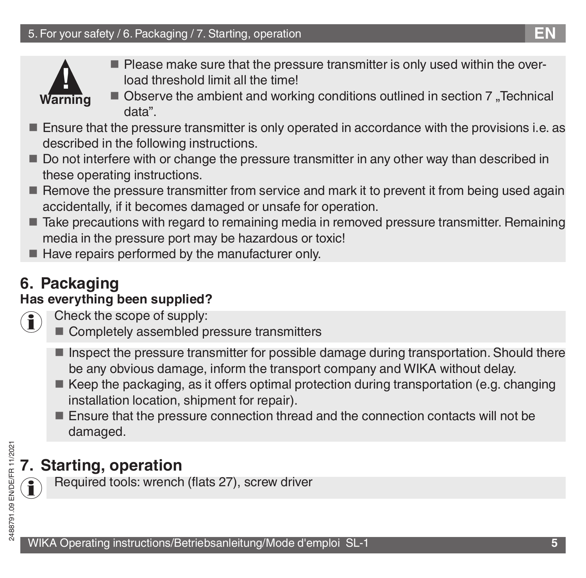

**Please make sure that the pressure transmitter is only used within the over**load threshold limit all the time!

- $\blacksquare$  Observe the ambient and working conditions outlined in section 7. Technical data".
- Ensure that the pressure transmitter is only operated in accordance with the provisions i.e. as described in the following instructions.
- Do not interfere with or change the pressure transmitter in any other way than described in these operating instructions.
- Remove the pressure transmitter from service and mark it to prevent it from being used again accidentally, if it becomes damaged or unsafe for operation.
- Take precautions with regard to remaining media in removed pressure transmitter. Remaining media in the pressure port may be hazardous or toxic!
- Have repairs performed by the manufacturer only.

# **6. Packaging**

## **Has everything been supplied?**

- Check the scope of supply:
- Completely assembled pressure transmitters
- **Inspect the pressure transmitter for possible damage during transportation. Should there** be any obvious damage, inform the transport company and WIKA without delay.
- Keep the packaging, as it offers optimal protection during transportation (e.g. changing installation location, shipment for repair).
- $\blacksquare$  Ensure that the pressure connection thread and the connection contacts will not be damaged.

# **7. Starting, operation**

Required tools: wrench (flats 27), screw driver

 $\mathbf{\hat{I}}$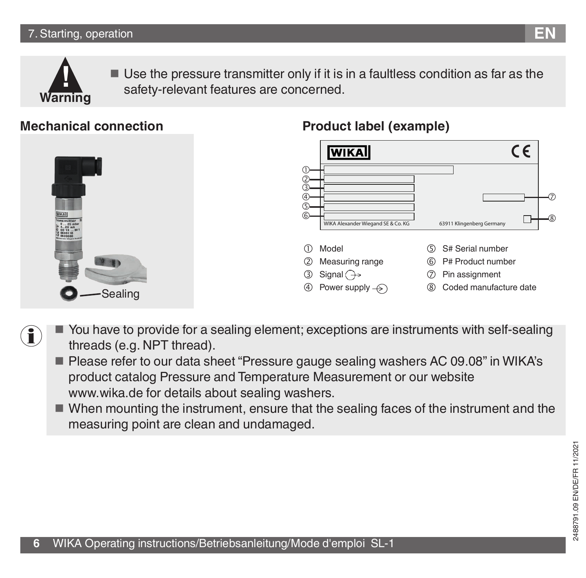

■ Use the pressure transmitter only if it is in a faultless condition as far as the safety-relevant features are concerned.



#### **Mechanical connection Product label (example)**



- $\bf \bf \hat{I}$  You have to provide for a sealing element; exceptions are instruments with self-sealing threads (e.g. NPT thread).
	- Please refer to our data sheet "Pressure gauge sealing washers AC 09.08" in WIKA's product catalog Pressure and Temperature Measurement or our website www.wika.de for details about sealing washers.
	- When mounting the instrument, ensure that the sealing faces of the instrument and the measuring point are clean and undamaged.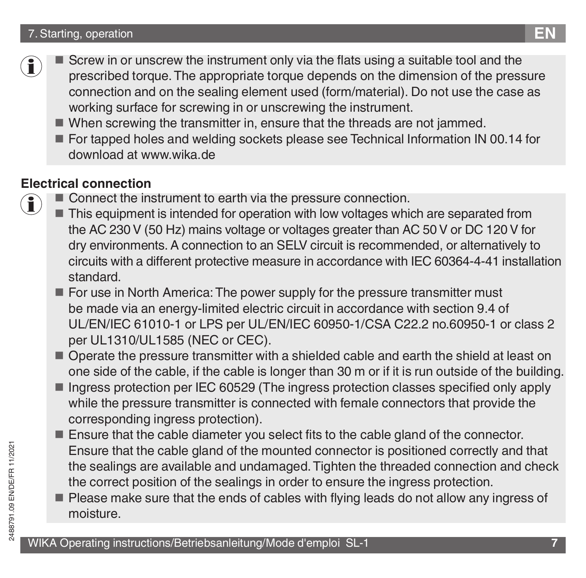2488791.09 EN/DE/FR 11/2021

2488791.09 EN/DE/FR 11/2021

- Screw in or unscrew the instrument only via the flats using a suitable tool and the prescribed torque. The appropriate torque depends on the dimension of the pressure connection and on the sealing element used (form/material). Do not use the case as working surface for screwing in or unscrewing the instrument.
- When screwing the transmitter in, ensure that the threads are not jammed.
- For tapped holes and welding sockets please see Technical Information IN 00.14 for download at www.wika.de

#### **Electrical connection**

- Connect the instrument to earth via the pressure connection.
	- This equipment is intended for operation with low voltages which are separated from the AC 230 V (50 Hz) mains voltage or voltages greater than AC 50 V or DC 120 V for dry environments. A connection to an SELV circuit is recommended, or alternatively to circuits with a different protective measure in accordance with IEC 60364-4-41 installation standard.
	- For use in North America: The power supply for the pressure transmitter must be made via an energy-limited electric circuit in accordance with section 9.4 of UL/EN/IEC 61010-1 or LPS per UL/EN/IEC 60950-1/CSA C22.2 no.60950-1 or class 2 per UL1310/UL1585 (NEC or CEC).
	- Operate the pressure transmitter with a shielded cable and earth the shield at least on one side of the cable, if the cable is longer than 30 m or if it is run outside of the building.
	- Ingress protection per IEC 60529 (The ingress protection classes specified only apply while the pressure transmitter is connected with female connectors that provide the corresponding ingress protection).
	- Ensure that the cable diameter you select fits to the cable gland of the connector. Ensure that the cable gland of the mounted connector is positioned correctly and that the sealings are available and undamaged. Tighten the threaded connection and check the correct position of the sealings in order to ensure the ingress protection.
	- **Please make sure that the ends of cables with flying leads do not allow any ingress of** moisture.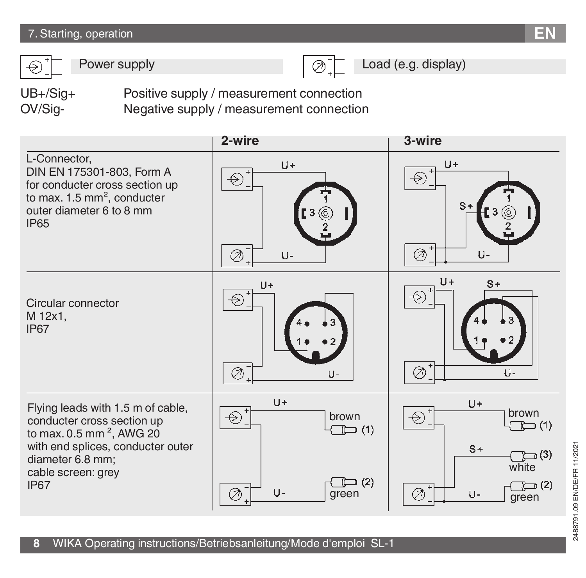



Power supply  $\bigcirc$   $\bigcirc$   $\bigcirc$  Load (e.g. display)

UB+/Sig+ Positive supply / measurement connection<br>
OV/Sig- Negative supply / measurement connection

Negative supply / measurement connection

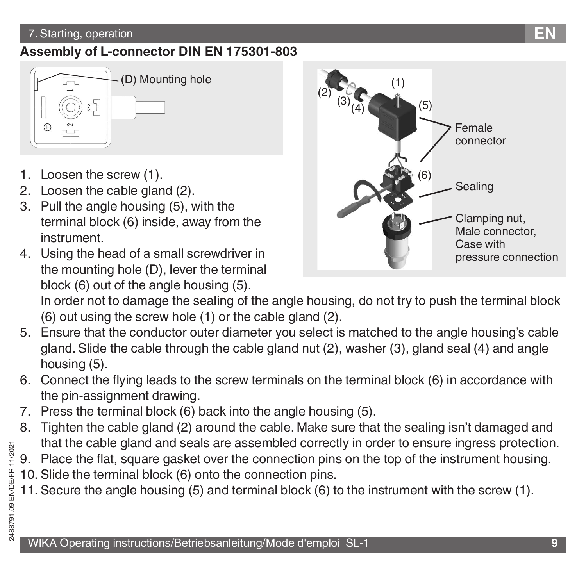## **Assembly of L-connector DIN EN 175301-803**



- 1. Loosen the screw (1).
- 2. Loosen the cable gland (2).
- 3. Pull the angle housing (5), with the terminal block (6) inside, away from the instrument.
- 4. Using the head of a small screwdriver in the mounting hole (D), lever the terminal block (6) out of the angle housing (5).



In order not to damage the sealing of the angle housing, do not try to push the terminal block (6) out using the screw hole (1) or the cable gland (2).

- 5. Ensure that the conductor outer diameter you select is matched to the angle housing's cable gland. Slide the cable through the cable gland nut (2), washer (3), gland seal (4) and angle housing (5).
- 6. Connect the flying leads to the screw terminals on the terminal block (6) in accordance with the pin-assignment drawing.
- 7. Press the terminal block (6) back into the angle housing (5).
- 8. Tighten the cable gland (2) around the cable. Make sure that the sealing isn't damaged and that the cable gland and seals are assembled correctly in order to ensure ingress protection.
- 9. Place the flat, square gasket over the connection pins on the top of the instrument housing.
- 10. Slide the terminal block (6) onto the connection pins.
- 11. Secure the angle housing (5) and terminal block (6) to the instrument with the screw (1).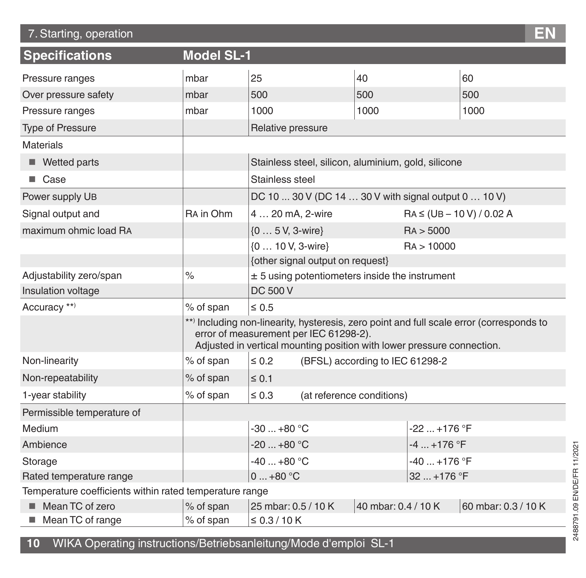| 7. Starting, operation                                  |                   |                                                                                                                  |                                  |                                                      |                |                                                                                          | EN |
|---------------------------------------------------------|-------------------|------------------------------------------------------------------------------------------------------------------|----------------------------------|------------------------------------------------------|----------------|------------------------------------------------------------------------------------------|----|
| <b>Specifications</b>                                   | <b>Model SL-1</b> |                                                                                                                  |                                  |                                                      |                |                                                                                          |    |
| Pressure ranges                                         | mbar              | 25                                                                                                               |                                  | 40                                                   |                | 60                                                                                       |    |
| Over pressure safety                                    | mbar              | 500                                                                                                              |                                  | 500                                                  |                | 500                                                                                      |    |
| Pressure ranges                                         | mbar              | 1000                                                                                                             |                                  | 1000                                                 |                | 1000                                                                                     |    |
| <b>Type of Pressure</b>                                 |                   | Relative pressure                                                                                                |                                  |                                                      |                |                                                                                          |    |
| Materials                                               |                   |                                                                                                                  |                                  |                                                      |                |                                                                                          |    |
| $\blacksquare$ Wetted parts                             |                   |                                                                                                                  |                                  | Stainless steel, silicon, aluminium, gold, silicone  |                |                                                                                          |    |
| $\blacksquare$ Case                                     |                   | Stainless steel                                                                                                  |                                  |                                                      |                |                                                                                          |    |
| Power supply UB                                         |                   |                                                                                                                  |                                  | DC 10  30 V (DC 14  30 V with signal output 0  10 V) |                |                                                                                          |    |
| Signal output and                                       | RA in Ohm         | 4  20 mA, 2-wire                                                                                                 |                                  |                                                      |                | $RA \leq (UB - 10 V) / 0.02 A$                                                           |    |
| maximum ohmic load RA                                   |                   | {0  5 V, 3-wire}                                                                                                 |                                  |                                                      | RA > 5000      |                                                                                          |    |
|                                                         |                   | {0  10 V, 3-wire}                                                                                                |                                  |                                                      | RA > 10000     |                                                                                          |    |
|                                                         |                   |                                                                                                                  | {other signal output on request} |                                                      |                |                                                                                          |    |
| Adjustability zero/span                                 | $\%$              |                                                                                                                  |                                  | $\pm$ 5 using potentiometers inside the instrument   |                |                                                                                          |    |
| Insulation voltage                                      |                   | DC 500 V                                                                                                         |                                  |                                                      |                |                                                                                          |    |
| Accuracy **)                                            | % of span         | $\leq 0.5$                                                                                                       |                                  |                                                      |                |                                                                                          |    |
|                                                         |                   | error of measurement per IEC 61298-2).<br>Adjusted in vertical mounting position with lower pressure connection. |                                  |                                                      |                | **) Including non-linearity, hysteresis, zero point and full scale error (corresponds to |    |
| Non-linearity                                           | % of span         | $\leq 0.2$                                                                                                       |                                  | (BFSL) according to IEC 61298-2                      |                |                                                                                          |    |
| Non-repeatability                                       | % of span         | $\leq 0.1$                                                                                                       |                                  |                                                      |                |                                                                                          |    |
| 1-year stability                                        | % of span         | $\leq 0.3$                                                                                                       |                                  | (at reference conditions)                            |                |                                                                                          |    |
| Permissible temperature of                              |                   |                                                                                                                  |                                  |                                                      |                |                                                                                          |    |
| Medium                                                  |                   | $-30+80$ °C                                                                                                      |                                  |                                                      | $-22 + 176$ °F |                                                                                          |    |
| Ambience                                                |                   | $-20+80 °C$                                                                                                      |                                  |                                                      | $-4+176$ °F    |                                                                                          |    |
| Storage                                                 |                   | $-40+80 °C$<br>$-40+176$ °F                                                                                      |                                  |                                                      |                |                                                                                          |    |
| Rated temperature range                                 |                   | $0+80 °C$<br>32  +176 °F                                                                                         |                                  |                                                      |                |                                                                                          |    |
| Temperature coefficients within rated temperature range |                   |                                                                                                                  |                                  |                                                      |                |                                                                                          |    |
| Mean TC of zero                                         | % of span         | 25 mbar: 0.5 / 10 K                                                                                              |                                  | 40 mbar: 0.4 / 10 K                                  |                | 60 mbar: 0.3 / 10 K                                                                      |    |
| Mean TC of range                                        | % of span         | $\le 0.3 / 10 K$                                                                                                 |                                  |                                                      |                |                                                                                          |    |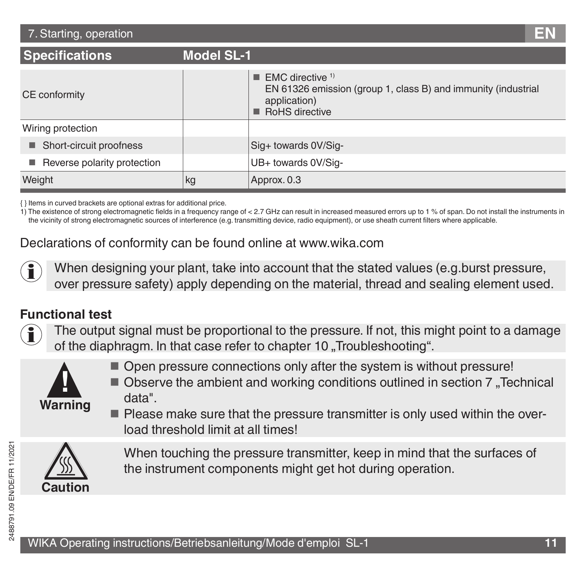| 7. Starting, operation           |                   |                                                                                                                                               | EN |
|----------------------------------|-------------------|-----------------------------------------------------------------------------------------------------------------------------------------------|----|
| <b>Specifications</b>            | <b>Model SL-1</b> |                                                                                                                                               |    |
| CE conformity                    |                   | $\blacksquare$ EMC directive <sup>1)</sup><br>EN 61326 emission (group 1, class B) and immunity (industrial<br>application)<br>RoHS directive |    |
| Wiring protection                |                   |                                                                                                                                               |    |
| Short-circuit proofness<br>٠     |                   | Sig+ towards 0V/Sig-                                                                                                                          |    |
| Reverse polarity protection<br>ш |                   | UB+ towards 0V/Sig-                                                                                                                           |    |
| Weight                           | kg                | Approx. 0.3                                                                                                                                   |    |

{ } Items in curved brackets are optional extras for additional price.

1) The existence of strong electromagnetic fields in a frequency range of < 2.7 GHz can result in increased measured errors up to 1 % of span. Do not install the instruments in the vicinity of strong electromagnetic sources of interference (e.g. transmitting device, radio equipment), or use sheath current filters where applicable.

Declarations of conformity can be found online at www.wika.com

When designing your plant, take into account that the stated values (e.g.burst pressure, over pressure safety) apply depending on the material, thread and sealing element used.

#### **Functional test**



The output signal must be proportional to the pressure. If not, this might point to a damage of the diaphragm. In that case refer to chapter 10 "Troubleshooting".



- Open pressure connections only after the system is without pressure!
- $\blacksquare$  Observe the ambient and working conditions outlined in section 7 "Technical data".
- **Please make sure that the pressure transmitter is only used within the over**load threshold limit at all times!



When touching the pressure transmitter, keep in mind that the surfaces of the instrument components might get hot during operation.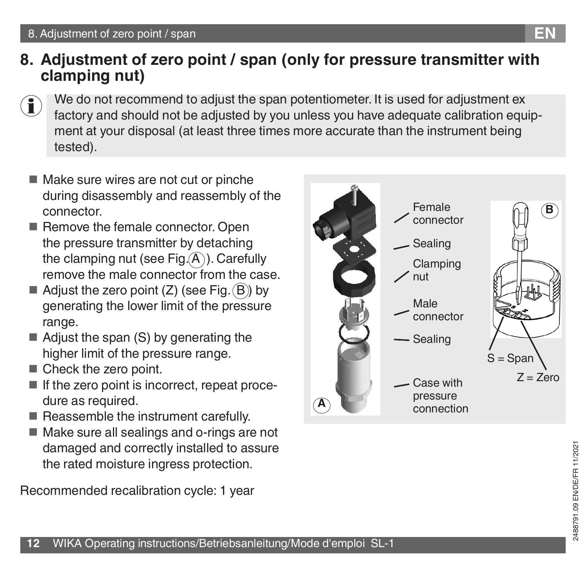#### 8. Adjustment of zero point / span **EN**

### **8. Adjustment of zero point / span (only for pressure transmitter with clamping nut)**

We do not recommend to adjust the span potentiometer. It is used for adjustment ex factory and should not be adjusted by you unless you have adequate calibration equipment at your disposal (at least three times more accurate than the instrument being tested).

- $\blacksquare$  Make sure wires are not cut or pinche during disassembly and reassembly of the connector.
- Remove the female connector. Open the pressure transmitter by detaching the clamping nut (see Fig. $(A)$ ). Carefully remove the male connector from the case.
- Adjust the zero point (Z) (see Fig.  $(B)$ ) by generating the lower limit of the pressure range.
- Adjust the span (S) by generating the higher limit of the pressure range.
- Check the zero point.
- $\blacksquare$  If the zero point is incorrect, repeat procedure as required.
- Reassemble the instrument carefully.
- Make sure all sealings and o-rings are not damaged and correctly installed to assure the rated moisture ingress protection.

Recommended recalibration cycle: 1 year

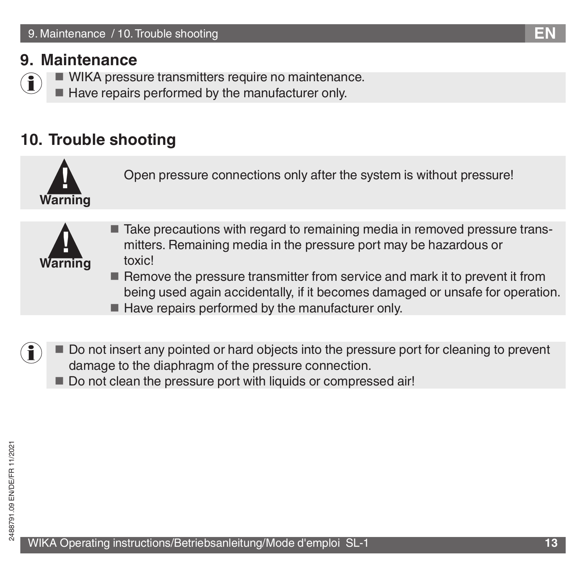## **9. Maintenance**

WIKA pressure transmitters require no maintenance.

 $\blacksquare$  Have repairs performed by the manufacturer only.

# **10. Trouble shooting**



Open pressure connections only after the system is without pressure!



- Take precautions with regard to remaining media in removed pressure transmitters. Remaining media in the pressure port may be hazardous or toxic!
- **Remove the pressure transmitter from service and mark it to prevent it from** being used again accidentally, if it becomes damaged or unsafe for operation.
- $\blacksquare$  Have repairs performed by the manufacturer only.



- Do not insert any pointed or hard objects into the pressure port for cleaning to prevent damage to the diaphragm of the pressure connection.
- Do not clean the pressure port with liquids or compressed air!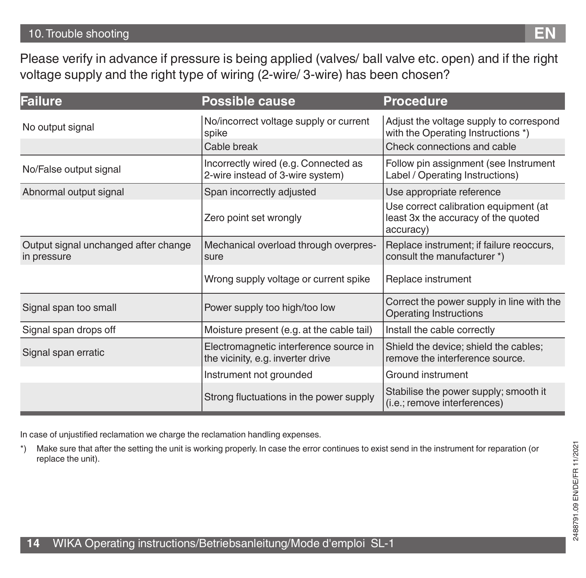#### 10. Trouble shooting **EN**

Please verify in advance if pressure is being applied (valves/ ball valve etc. open) and if the right voltage supply and the right type of wiring (2-wire/ 3-wire) has been chosen?

| <b>Failure</b>                                      | <b>Possible cause</b>                                                       | <b>Procedure</b>                                                                          |
|-----------------------------------------------------|-----------------------------------------------------------------------------|-------------------------------------------------------------------------------------------|
| No output signal                                    | No/incorrect voltage supply or current<br>spike                             | Adjust the voltage supply to correspond<br>with the Operating Instructions *)             |
|                                                     | Cable break                                                                 | Check connections and cable                                                               |
| No/False output signal                              | Incorrectly wired (e.g. Connected as<br>2-wire instead of 3-wire system)    | Follow pin assignment (see Instrument<br>Label / Operating Instructions)                  |
| Abnormal output signal                              | Span incorrectly adjusted                                                   | Use appropriate reference                                                                 |
|                                                     | Zero point set wrongly                                                      | Use correct calibration equipment (at<br>least 3x the accuracy of the quoted<br>accuracy) |
| Output signal unchanged after change<br>in pressure | Mechanical overload through overpres-<br>sure                               | Replace instrument; if failure reoccurs,<br>consult the manufacturer *)                   |
|                                                     | Wrong supply voltage or current spike                                       | Replace instrument                                                                        |
| Signal span too small                               | Power supply too high/too low                                               | Correct the power supply in line with the<br><b>Operating Instructions</b>                |
| Signal span drops off                               | Moisture present (e.g. at the cable tail)                                   | Install the cable correctly                                                               |
| Signal span erratic                                 | Electromagnetic interference source in<br>the vicinity, e.g. inverter drive | Shield the device; shield the cables;<br>remove the interference source.                  |
|                                                     | Instrument not grounded                                                     | Ground instrument                                                                         |
|                                                     | Strong fluctuations in the power supply                                     | Stabilise the power supply; smooth it<br>(i.e.; remove interferences)                     |

In case of unjustified reclamation we charge the reclamation handling expenses.

\*) Make sure that after the setting the unit is working properly. In case the error continues to exist send in the instrument for reparation (or replace the unit).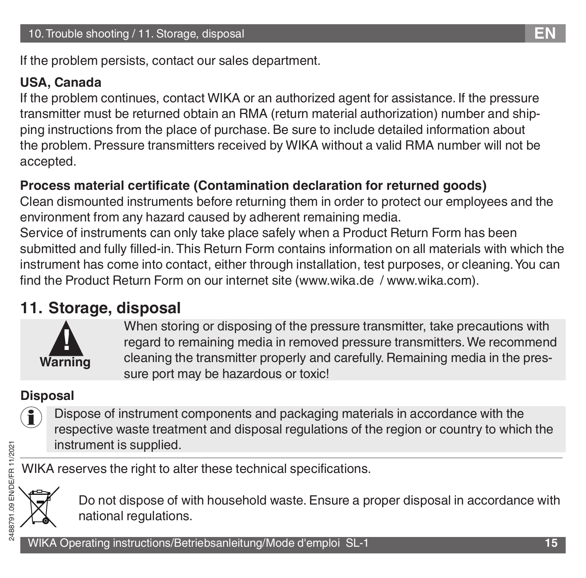If the problem persists, contact our sales department.

#### **USA, Canada**

If the problem continues, contact WIKA or an authorized agent for assistance. If the pressure transmitter must be returned obtain an RMA (return material authorization) number and shipping instructions from the place of purchase. Be sure to include detailed information about the problem. Pressure transmitters received by WIKA without a valid RMA number will not be accepted.

### **Process material certificate (Contamination declaration for returned goods)**

Clean dismounted instruments before returning them in order to protect our employees and the environment from any hazard caused by adherent remaining media.

Service of instruments can only take place safely when a Product Return Form has been submitted and fully filled-in. This Return Form contains information on all materials with which the instrument has come into contact, either through installation, test purposes, or cleaning. You can find the Product Return Form on our internet site (www.wika.de / www.wika.com).

## **11. Storage, disposal**



When storing or disposing of the pressure transmitter, take precautions with regard to remaining media in removed pressure transmitters. We recommend cleaning the transmitter properly and carefully. Remaining media in the pressure port may be hazardous or toxic!

## **Disposal**



Dispose of instrument components and packaging materials in accordance with the respective waste treatment and disposal regulations of the region or country to which the instrument is supplied.

WIKA reserves the right to alter these technical specifications.



Do not dispose of with household waste. Ensure a proper disposal in accordance with national regulations.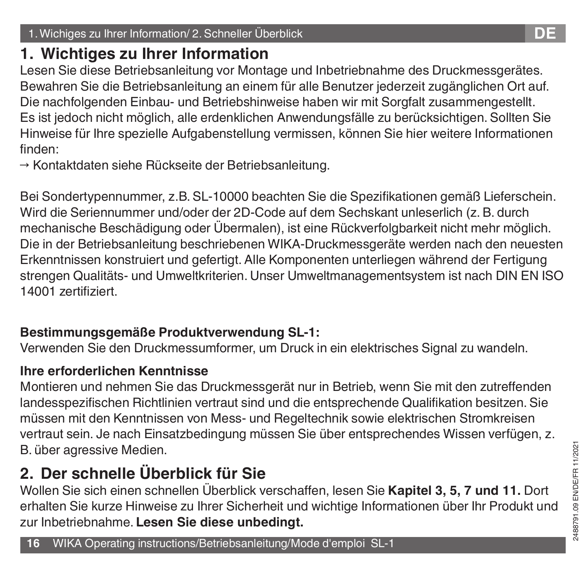# **1. Wichtiges zu Ihrer Information**

Lesen Sie diese Betriebsanleitung vor Montage und Inbetriebnahme des Druckmessgerätes. Bewahren Sie die Betriebsanleitung an einem für alle Benutzer jederzeit zugänglichen Ort auf. Die nachfolgenden Einbau- und Betriebshinweise haben wir mit Sorgfalt zusammengestellt. Es ist jedoch nicht möglich, alle erdenklichen Anwendungsfälle zu berücksichtigen. Sollten Sie Hinweise für Ihre spezielle Aufgabenstellung vermissen, können Sie hier weitere Informationen finden:

→ Kontaktdaten siehe Rückseite der Betriebsanleitung.

Bei Sondertypennummer, z.B. SL-10000 beachten Sie die Spezifikationen gemäß Lieferschein. Wird die Seriennummer und/oder der 2D-Code auf dem Sechskant unleserlich (z. B. durch mechanische Beschädigung oder Übermalen), ist eine Rückverfolgbarkeit nicht mehr möglich. Die in der Betriebsanleitung beschriebenen WIKA-Druckmessgeräte werden nach den neuesten Erkenntnissen konstruiert und gefertigt. Alle Komponenten unterliegen während der Fertigung strengen Qualitäts- und Umweltkriterien. Unser Umweltmanagementsystem ist nach DIN EN ISO 14001 zertifiziert.

## **Bestimmungsgemäße Produktverwendung SL-1:**

Verwenden Sie den Druckmessumformer, um Druck in ein elektrisches Signal zu wandeln.

## **Ihre erforderlichen Kenntnisse**

Montieren und nehmen Sie das Druckmessgerät nur in Betrieb, wenn Sie mit den zutreffenden landesspezifischen Richtlinien vertraut sind und die entsprechende Qualifikation besitzen. Sie müssen mit den Kenntnissen von Mess- und Regeltechnik sowie elektrischen Stromkreisen vertraut sein. Je nach Einsatzbedingung müssen Sie über entsprechendes Wissen verfügen, z. B. über agressive Medien.

# **2. Der schnelle Überblick für Sie**

Wollen Sie sich einen schnellen Überblick verschaffen, lesen Sie **Kapitel 3, 5, 7 und 11.** Dort erhalten Sie kurze Hinweise zu Ihrer Sicherheit und wichtige Informationen über Ihr Produkt und zur Inbetriebnahme. **Lesen Sie diese unbedingt.**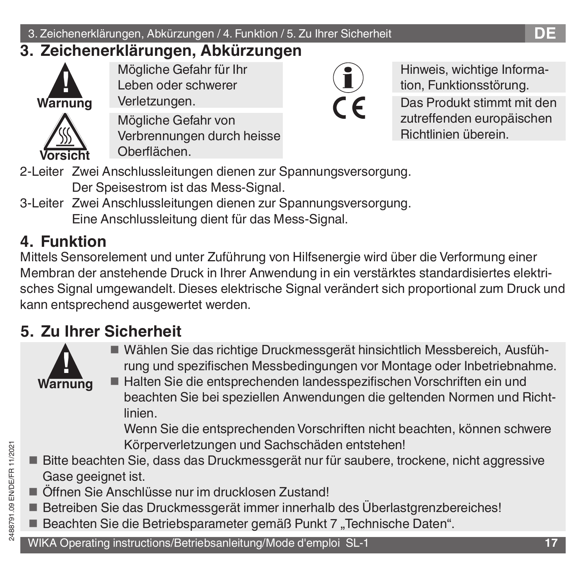# **3. Zeichenerklärungen, Abkürzungen**



Mögliche Gefahr für Ihr Leben oder schwerer Verletzungen.



Mögliche Gefahr von Verbrennungen durch heisse Oberflächen.



Hinweis, wichtige Information, Funktionsstörung.

Das Produkt stimmt mit den zutreffenden europäischen Richtlinien überein.

2-Leiter Zwei Anschlussleitungen dienen zur Spannungsversorgung. Der Speisestrom ist das Mess-Signal.

3-Leiter Zwei Anschlussleitungen dienen zur Spannungsversorgung. Eine Anschlussleitung dient für das Mess-Signal.

# **4. Funktion**

Mittels Sensorelement und unter Zuführung von Hilfsenergie wird über die Verformung einer Membran der anstehende Druck in Ihrer Anwendung in ein verstärktes standardisiertes elektrisches Signal umgewandelt. Dieses elektrische Signal verändert sich proportional zum Druck und kann entsprechend ausgewertet werden.

# **5. Zu Ihrer Sicherheit**



- Wählen Sie das richtige Druckmessgerät hinsichtlich Messbereich, Ausführung und spezifischen Messbedingungen vor Montage oder Inbetriebnahme.
- Halten Sie die entsprechenden landesspezifischen Vorschriften ein und beachten Sie bei speziellen Anwendungen die geltenden Normen und Richtlinien.

Wenn Sie die entsprechenden Vorschriften nicht beachten, können schwere Körperverletzungen und Sachschäden entstehen!

- Bitte beachten Sie, dass das Druckmessgerät nur für saubere, trockene, nicht aggressive Gase geeignet ist.
- Öffnen Sie Anschlüsse nur im drucklosen Zustand!
- Betreiben Sie das Druckmessgerät immer innerhalb des Überlastgrenzbereiches!
- Beachten Sie die Betriebsparameter gemäß Punkt 7 "Technische Daten".

WIKA Operating instructions/Betriebsanleitung/Mode d'emploi SL-1 **17**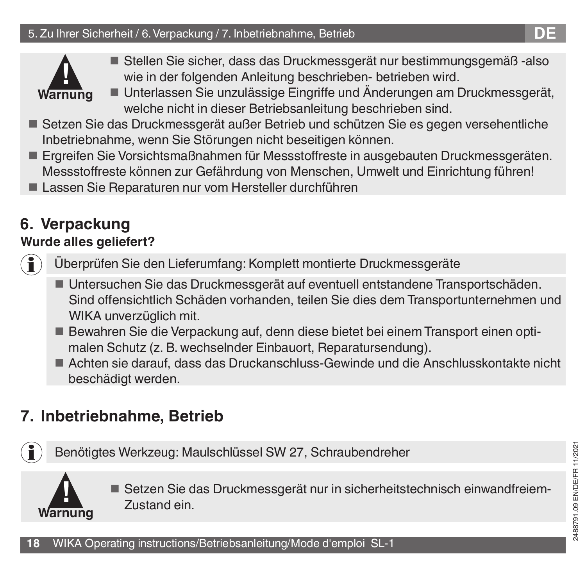

■ Stellen Sie sicher, dass das Druckmessgerät nur bestimmungsgemäß -also wie in der folgenden Anleitung beschrieben- betrieben wird.

 Unterlassen Sie unzulässige Eingriffe und Änderungen am Druckmessgerät, welche nicht in dieser Betriebsanleitung beschrieben sind.

- Setzen Sie das Druckmessgerät außer Betrieb und schützen Sie es gegen versehentliche Inbetriebnahme, wenn Sie Störungen nicht beseitigen können.
- Ergreifen Sie Vorsichtsmaßnahmen für Messstoffreste in ausgebauten Druckmessgeräten. Messstoffreste können zur Gefährdung von Menschen, Umwelt und Einrichtung führen!
- Lassen Sie Reparaturen nur vom Hersteller durchführen

# **6. Verpackung**

### **Wurde alles geliefert?**

Überprüfen Sie den Lieferumfang: Komplett montierte Druckmessgeräte

- Untersuchen Sie das Druckmessgerät auf eventuell entstandene Transportschäden. Sind offensichtlich Schäden vorhanden, teilen Sie dies dem Transportunternehmen und WIKA unverzüglich mit.
- Bewahren Sie die Verpackung auf, denn diese bietet bei einem Transport einen optimalen Schutz (z. B. wechselnder Einbauort, Reparatursendung).
- Achten sie darauf, dass das Druckanschluss-Gewinde und die Anschlusskontakte nicht beschädigt werden.

# **7. Inbetriebnahme, Betrieb**

Benötigtes Werkzeug: Maulschlüssel SW 27, Schraubendreher



 Setzen Sie das Druckmessgerät nur in sicherheitstechnisch einwandfreiem-Zustand ein.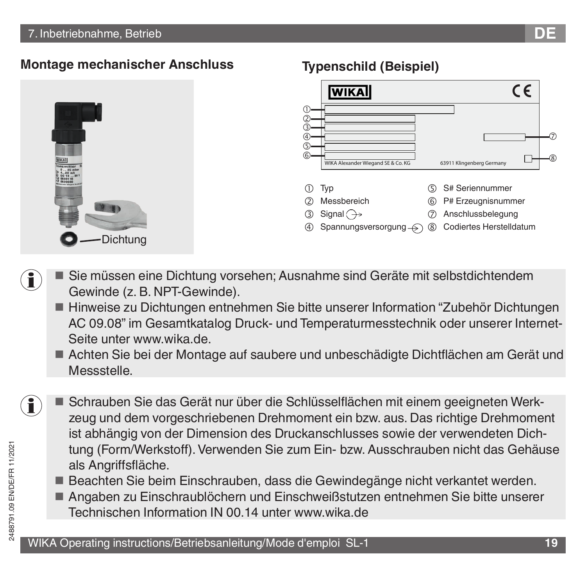#### 7. Inbetriebnahme, Betrieb **DE**

#### **Montage mechanischer Anschluss Typenschild (Beispiel)**





- Sie müssen eine Dichtung vorsehen; Ausnahme sind Geräte mit selbstdichtendem  $\bf{(i)}$ Gewinde (z. B. NPT-Gewinde).
	- Hinweise zu Dichtungen entnehmen Sie bitte unserer Information "Zubehör Dichtungen AC 09.08" im Gesamtkatalog Druck- und Temperaturmesstechnik oder unserer Internet-Seite unter www.wika.de.
	- Achten Sie bei der Montage auf saubere und unbeschädigte Dichtflächen am Gerät und Messstelle.
	- Schrauben Sie das Gerät nur über die Schlüsselflächen mit einem geeigneten Werkzeug und dem vorgeschriebenen Drehmoment ein bzw. aus. Das richtige Drehmoment ist abhängig von der Dimension des Druckanschlusses sowie der verwendeten Dichtung (Form/Werkstoff). Verwenden Sie zum Ein- bzw. Ausschrauben nicht das Gehäuse als Angriffsfläche.
		- Beachten Sie beim Einschrauben, dass die Gewindegänge nicht verkantet werden.
		- Angaben zu Einschraublöchern und Einschweißstutzen entnehmen Sie bitte unserer Technischen Information IN 00.14 unter www.wika.de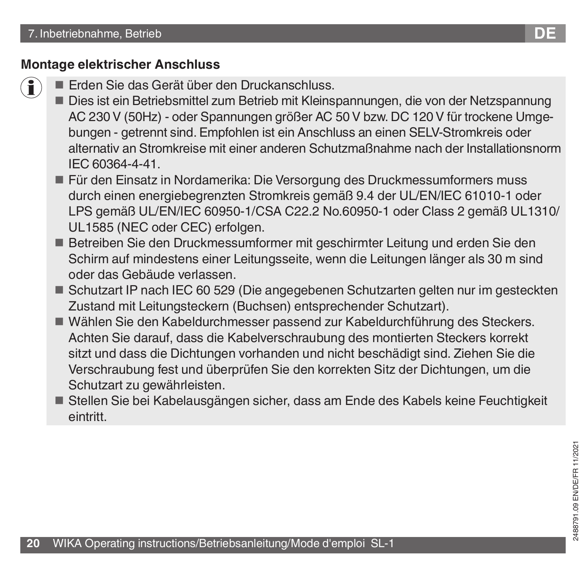#### **Montage elektrischer Anschluss**

- Erden Sie das Gerät über den Druckanschluss.
	- Dies ist ein Betriebsmittel zum Betrieb mit Kleinspannungen, die von der Netzspannung AC 230 V (50Hz) - oder Spannungen größer AC 50 V bzw. DC 120 V für trockene Umgebungen - getrennt sind. Empfohlen ist ein Anschluss an einen SELV-Stromkreis oder alternativ an Stromkreise mit einer anderen Schutzmaßnahme nach der Installationsnorm IEC 60364-4-41.
- Für den Einsatz in Nordamerika: Die Versorgung des Druckmessumformers muss durch einen energiebegrenzten Stromkreis gemäß 9.4 der UL/EN/IEC 61010-1 oder LPS gemäß UL/EN/IEC 60950-1/CSA C22.2 No.60950-1 oder Class 2 gemäß UL1310/ UL1585 (NEC oder CEC) erfolgen.
- Betreiben Sie den Druckmessumformer mit geschirmter Leitung und erden Sie den Schirm auf mindestens einer Leitungsseite, wenn die Leitungen länger als 30 m sind oder das Gebäude verlassen.
- Schutzart IP nach IEC 60 529 (Die angegebenen Schutzarten gelten nur im gesteckten Zustand mit Leitungsteckern (Buchsen) entsprechender Schutzart).
- Wählen Sie den Kabeldurchmesser passend zur Kabeldurchführung des Steckers. Achten Sie darauf, dass die Kabelverschraubung des montierten Steckers korrekt sitzt und dass die Dichtungen vorhanden und nicht beschädigt sind. Ziehen Sie die Verschraubung fest und überprüfen Sie den korrekten Sitz der Dichtungen, um die Schutzart zu gewährleisten.
- Stellen Sie bei Kabelausgängen sicher, dass am Ende des Kabels keine Feuchtigkeit eintritt.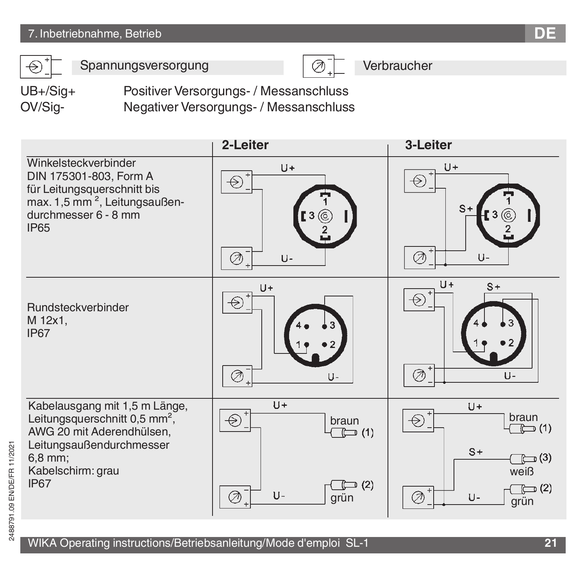#### 7. Inbetriebnahme, Betrieb **DE**

ᠹ

Spannungsversorgung **Verbraucher** 



UB+/Sig+ Positiver Versorgungs- / Messanschluss<br>OV/Sig- Negativer Versorgungs- / Messanschlus Negativer Versorgungs- / Messanschluss

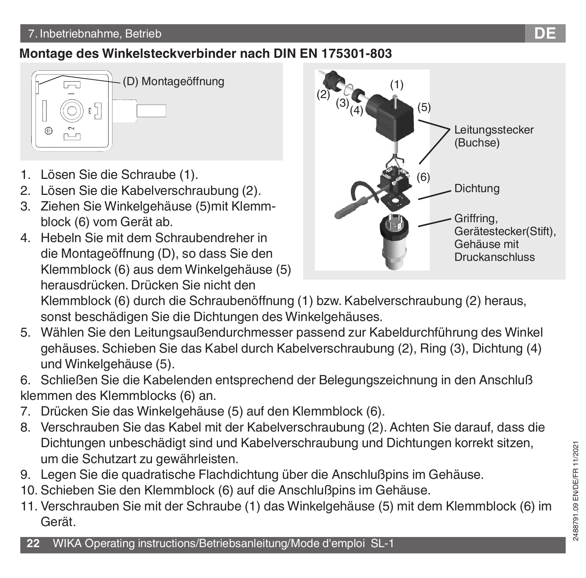#### 7. Inbetriebnahme, Betrieb **DE**

### **Montage des Winkelsteckverbinder nach DIN EN 175301-803**



- 1. Lösen Sie die Schraube (1).
- 2. Lösen Sie die Kabelverschraubung (2).
- 3. Ziehen Sie Winkelgehäuse (5)mit Klemmblock (6) vom Gerät ab.
- 4. Hebeln Sie mit dem Schraubendreher in die Montageöffnung (D), so dass Sie den Klemmblock (6) aus dem Winkelgehäuse (5) herausdrücken. Drücken Sie nicht den



Klemmblock (6) durch die Schraubenöffnung (1) bzw. Kabelverschraubung (2) heraus, sonst beschädigen Sie die Dichtungen des Winkelgehäuses.

- 5. Wählen Sie den Leitungsaußendurchmesser passend zur Kabeldurchführung des Winkel gehäuses. Schieben Sie das Kabel durch Kabelverschraubung (2), Ring (3), Dichtung (4) und Winkelgehäuse (5).
- 6. Schließen Sie die Kabelenden entsprechend der Belegungszeichnung in den Anschluß klemmen des Klemmblocks (6) an.
- 7. Drücken Sie das Winkelgehäuse (5) auf den Klemmblock (6).
- 8. Verschrauben Sie das Kabel mit der Kabelverschraubung (2). Achten Sie darauf, dass die Dichtungen unbeschädigt sind und Kabelverschraubung und Dichtungen korrekt sitzen, um die Schutzart zu gewährleisten.
- 9. Legen Sie die quadratische Flachdichtung über die Anschlußpins im Gehäuse.
- 10. Schieben Sie den Klemmblock (6) auf die Anschlußpins im Gehäuse.
- 11. Verschrauben Sie mit der Schraube (1) das Winkelgehäuse (5) mit dem Klemmblock (6) im Gerät.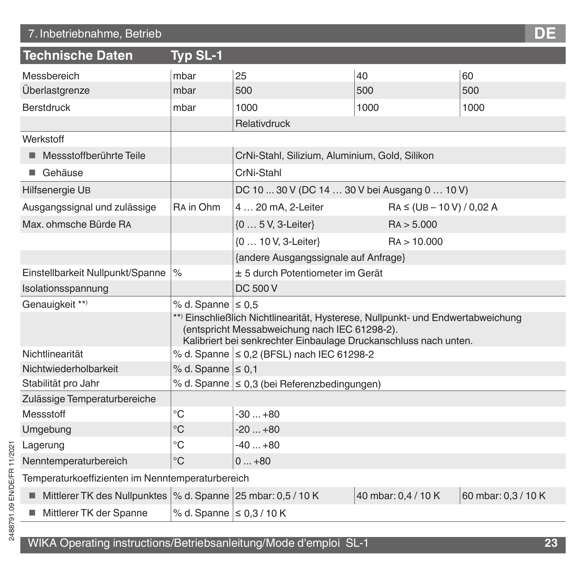| 7. Inbetriebnahme, Betrieb                                           |                               |                                                                                                                                                                                                      |                                |                     | DE |
|----------------------------------------------------------------------|-------------------------------|------------------------------------------------------------------------------------------------------------------------------------------------------------------------------------------------------|--------------------------------|---------------------|----|
| <b>Technische Daten</b>                                              | Typ SL-1                      |                                                                                                                                                                                                      |                                |                     |    |
| Messbereich                                                          | mbar                          | 25                                                                                                                                                                                                   | 40                             | 60                  |    |
| Überlastgrenze                                                       | mbar                          | 500                                                                                                                                                                                                  | 500                            | 500                 |    |
| <b>Berstdruck</b>                                                    | mbar                          | 1000                                                                                                                                                                                                 | 1000                           | 1000                |    |
|                                                                      |                               | Relativdruck                                                                                                                                                                                         |                                |                     |    |
| Werkstoff                                                            |                               |                                                                                                                                                                                                      |                                |                     |    |
| Messstoffberührte Teile<br>■                                         |                               | CrNi-Stahl, Silizium, Aluminium, Gold, Silikon                                                                                                                                                       |                                |                     |    |
| Gehäuse<br>٠                                                         |                               | CrNi-Stahl                                                                                                                                                                                           |                                |                     |    |
| Hilfsenergie UB                                                      |                               | DC 10  30 V (DC 14  30 V bei Ausgang 0  10 V)                                                                                                                                                        |                                |                     |    |
| Ausgangssignal und zulässige                                         | RA in Ohm                     | 4  20 mA, 2-Leiter                                                                                                                                                                                   | $RA \leq (UB - 10 V) / 0.02 A$ |                     |    |
| Max, ohmsche Bürde RA                                                |                               | {0  5 V, 3-Leiter}                                                                                                                                                                                   | RA > 5.000                     |                     |    |
|                                                                      |                               | {0  10 V, 3-Leiter}                                                                                                                                                                                  | RA > 10.000                    |                     |    |
|                                                                      |                               | {andere Ausgangssignale auf Anfrage}                                                                                                                                                                 |                                |                     |    |
| Einstellbarkeit Nullpunkt/Spanne                                     | $\%$                          | ± 5 durch Potentiometer im Gerät                                                                                                                                                                     |                                |                     |    |
| Isolationsspannung                                                   |                               | DC 500 V                                                                                                                                                                                             |                                |                     |    |
| Genauigkeit **)                                                      | % d. Spanne $\leq 0.5$        | **) Einschließlich Nichtlinearität, Hysterese, Nullpunkt- und Endwertabweichung<br>(entspricht Messabweichung nach IEC 61298-2).<br>Kalibriert bei senkrechter Einbaulage Druckanschluss nach unten. |                                |                     |    |
| Nichtlinearität                                                      |                               | % d. Spanne   ≤ 0,2 (BFSL) nach IEC 61298-2                                                                                                                                                          |                                |                     |    |
| Nichtwiederholbarkeit                                                | % d. Spanne $\leq 0.1$        |                                                                                                                                                                                                      |                                |                     |    |
| Stabilität pro Jahr                                                  |                               | % d. Spanne $\leq 0.3$ (bei Referenzbedingungen)                                                                                                                                                     |                                |                     |    |
| Zulässige Temperaturbereiche                                         |                               |                                                                                                                                                                                                      |                                |                     |    |
| Messstoff                                                            | °C                            | $-30+80$                                                                                                                                                                                             |                                |                     |    |
| Umgebung                                                             | °C                            | $-20+80$                                                                                                                                                                                             |                                |                     |    |
| Lagerung                                                             | °C                            | $-40+80$                                                                                                                                                                                             |                                |                     |    |
| Nenntemperaturbereich                                                | $^{\circ}C$                   | $0+80$                                                                                                                                                                                               |                                |                     |    |
| Temperaturkoeffizienten im Nenntemperaturbereich                     |                               |                                                                                                                                                                                                      |                                |                     |    |
| Mittlerer TK des Nullpunktes  % d. Spanne   25 mbar: 0.5 / 10 K<br>■ |                               |                                                                                                                                                                                                      | 40 mbar: 0,4 / 10 K            | 60 mbar: 0,3 / 10 K |    |
| ■ Mittlerer TK der Spanne                                            | % d. Spanne $\leq 0.3 / 10 K$ |                                                                                                                                                                                                      |                                |                     |    |

WIKA Operating instructions/Betriebsanleitung/Mode d'emploi SL-1 **23**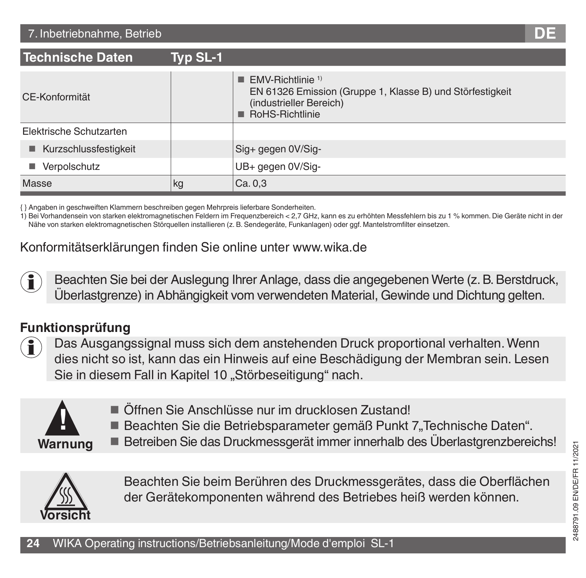| 7. Inbetriebnahme, Betrieb |                 |                                                                                                                              | DE |
|----------------------------|-----------------|------------------------------------------------------------------------------------------------------------------------------|----|
| <b>Technische Daten</b>    | <b>Typ SL-1</b> |                                                                                                                              |    |
| CE-Konformität             |                 | $EMV-Richtlinie1$<br>EN 61326 Emission (Gruppe 1, Klasse B) und Störfestigkeit<br>(industrieller Bereich)<br>RoHS-Richtlinie |    |
| Elektrische Schutzarten    |                 |                                                                                                                              |    |
| ■ Kurzschlussfestigkeit    |                 | Sig+ gegen 0V/Sig-                                                                                                           |    |
| Verpolschutz               |                 | UB+ gegen 0V/Sig-                                                                                                            |    |
| Masse                      | kg              | Ca. 0,3                                                                                                                      |    |

{ } Angaben in geschweiften Klammern beschreiben gegen Mehrpreis lieferbare Sonderheiten.

1) Bei Vorhandensein von starken elektromagnetischen Feldern im Frequenzbereich < 2,7 GHz, kann es zu erhöhten Messfehlern bis zu 1 % kommen. Die Geräte nicht in der Nähe von starken elektromagnetischen Störquellen installieren (z. B. Sendegeräte, Funkanlagen) oder ggf. Mantelstromfilter einsetzen.

Konformitätserklärungen finden Sie online unter www.wika.de

Beachten Sie bei der Auslegung Ihrer Anlage, dass die angegebenen Werte (z. B. Berstdruck, Überlastgrenze) in Abhängigkeit vom verwendeten Material, Gewinde und Dichtung gelten.

#### **Funktionsprüfung**

Das Ausgangssignal muss sich dem anstehenden Druck proportional verhalten. Wenn dies nicht so ist, kann das ein Hinweis auf eine Beschädigung der Membran sein. Lesen Sie in diesem Fall in Kapitel 10 "Störbeseitigung" nach.



- Öffnen Sie Anschlüsse nur im drucklosen Zustand!
- Beachten Sie die Betriebsparameter gemäß Punkt 7, Technische Daten".
- Betreiben Sie das Druckmessgerät immer innerhalb des Überlastgrenzbereichs!



Beachten Sie beim Berühren des Druckmessgerätes, dass die Oberflächen der Gerätekomponenten während des Betriebes heiß werden können.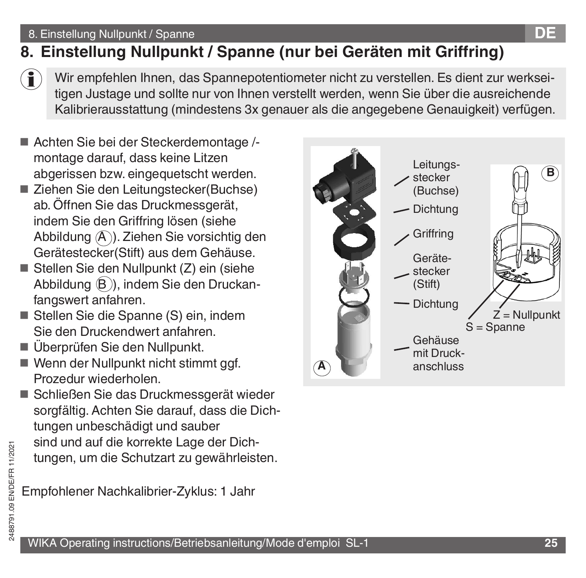#### 8. Einstellung Nullpunkt / Spanne **DE**

# **8. Einstellung Nullpunkt / Spanne (nur bei Geräten mit Griffring)**



Wir empfehlen Ihnen, das Spannepotentiometer nicht zu verstellen. Es dient zur werkseitigen Justage und sollte nur von Ihnen verstellt werden, wenn Sie über die ausreichende Kalibrierausstattung (mindestens 3x genauer als die angegebene Genauigkeit) verfügen.

- Achten Sie bei der Steckerdemontage / montage darauf, dass keine Litzen abgerissen bzw. eingequetscht werden.
- Ziehen Sie den Leitungstecker(Buchse) ab. Öffnen Sie das Druckmessgerät, indem Sie den Griffring lösen (siehe Abbildung  $(A)$ ). Ziehen Sie vorsichtig den Gerätestecker(Stift) aus dem Gehäuse.
- Stellen Sie den Nullpunkt (Z) ein (siehe Abbildung  $(B)$ ), indem Sie den Druckanfangswert anfahren.
- Stellen Sie die Spanne (S) ein, indem Sie den Druckendwert anfahren.
- Überprüfen Sie den Nullpunkt.
- Wenn der Nullpunkt nicht stimmt ggf. Prozedur wiederholen.
- Schließen Sie das Druckmessgerät wieder sorgfältig. Achten Sie darauf, dass die Dichtungen unbeschädigt und sauber
- sind und auf die korrekte Lage der Dichtungen, um die Schutzart zu gewährleisten.

Empfohlener Nachkalibrier-Zyklus: 1 Jahr

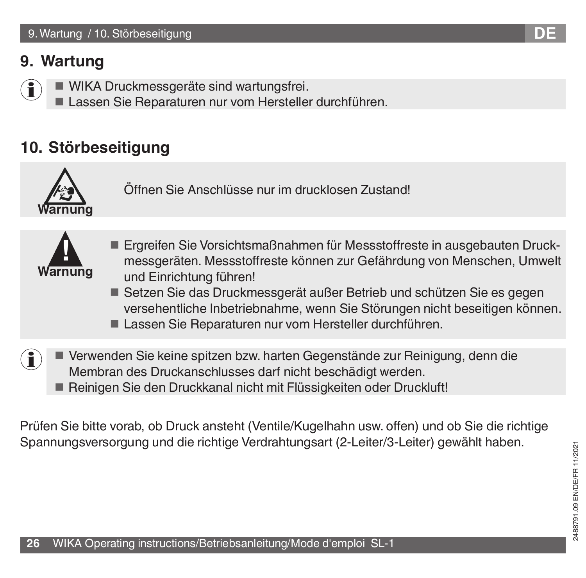## **9. Wartung**

WIKA Druckmessgeräte sind wartungsfrei.

Lassen Sie Reparaturen nur vom Hersteller durchführen.

# **10. Störbeseitigung**

Öffnen Sie Anschlüsse nur im drucklosen Zustand!



**Warnung**

- Ergreifen Sie Vorsichtsmaßnahmen für Messstoffreste in ausgebauten Druckmessgeräten. Messstoffreste können zur Gefährdung von Menschen, Umwelt und Einrichtung führen!
- Setzen Sie das Druckmessgerät außer Betrieb und schützen Sie es gegen versehentliche Inbetriebnahme, wenn Sie Störungen nicht beseitigen können.
- Lassen Sie Reparaturen nur vom Hersteller durchführen.
- Verwenden Sie keine spitzen bzw. harten Gegenstände zur Reinigung, denn die Membran des Druckanschlusses darf nicht beschädigt werden.
	- Reinigen Sie den Druckkanal nicht mit Flüssigkeiten oder Druckluft!

Prüfen Sie bitte vorab, ob Druck ansteht (Ventile/Kugelhahn usw. offen) und ob Sie die richtige Spannungsversorgung und die richtige Verdrahtungsart (2-Leiter/3-Leiter) gewählt haben.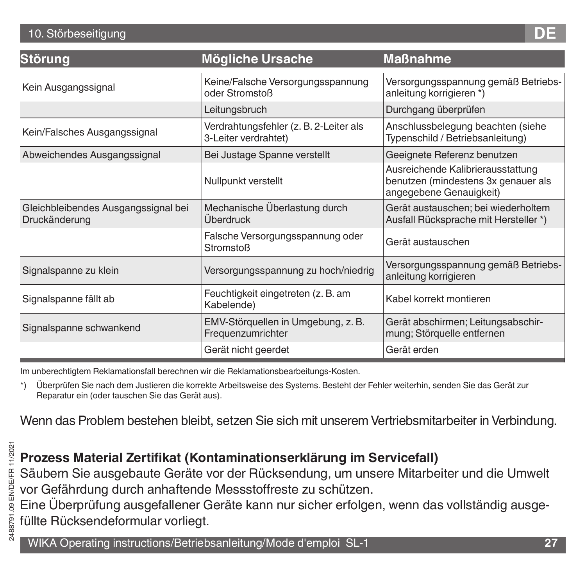| Störung                                              | <b>Mögliche Ursache</b>                                        | <b>Maßnahme</b>                                                                                     |
|------------------------------------------------------|----------------------------------------------------------------|-----------------------------------------------------------------------------------------------------|
| Kein Ausgangssignal                                  | Keine/Falsche Versorgungsspannung<br>oder Stromstoß            | Versorgungsspannung gemäß Betriebs-<br>anleitung korrigieren *)                                     |
|                                                      | Leitungsbruch                                                  | Durchgang überprüfen                                                                                |
| Kein/Falsches Ausgangssignal                         | Verdrahtungsfehler (z. B. 2-Leiter als<br>3-Leiter verdrahtet) | Anschlussbelegung beachten (siehe<br>Typenschild / Betriebsanleitung)                               |
| Abweichendes Ausgangssignal                          | Bei Justage Spanne verstellt                                   | Geeignete Referenz benutzen                                                                         |
|                                                      | Nullpunkt verstellt                                            | Ausreichende Kalibrierausstattung<br>benutzen (mindestens 3x genauer als<br>angegebene Genauigkeit) |
| Gleichbleibendes Ausgangssignal bei<br>Druckänderung | Mechanische Überlastung durch<br>Überdruck                     | Gerät austauschen; bei wiederholtem<br>Ausfall Rücksprache mit Hersteller *)                        |
|                                                      | Falsche Versorgungsspannung oder<br><b>Stromstoß</b>           | Gerät austauschen                                                                                   |
| Signalspanne zu klein                                | Versorgungsspannung zu hoch/niedrig                            | Versorgungsspannung gemäß Betriebs-<br>anleitung korrigieren                                        |
| Signalspanne fällt ab                                | Feuchtigkeit eingetreten (z. B. am<br>Kabelende)               | Kabel korrekt montieren                                                                             |
| Signalspanne schwankend                              | EMV-Störquellen in Umgebung, z. B.<br>Frequenzumrichter        | Gerät abschirmen; Leitungsabschir-<br>mung; Störquelle entfernen                                    |
|                                                      | Gerät nicht geerdet                                            | Gerät erden                                                                                         |

Im unberechtigtem Reklamationsfall berechnen wir die Reklamationsbearbeitungs-Kosten.

\*) Überprüfen Sie nach dem Justieren die korrekte Arbeitsweise des Systems. Besteht der Fehler weiterhin, senden Sie das Gerät zur Reparatur ein (oder tauschen Sie das Gerät aus).

Wenn das Problem bestehen bleibt, setzen Sie sich mit unserem Vertriebsmitarbeiter in Verbindung.

#### **Prozess Material Zertifikat (Kontaminationserklärung im Servicefall)**

Säubern Sie ausgebaute Geräte vor der Rücksendung, um unsere Mitarbeiter und die Umwelt vor Gefährdung durch anhaftende Messstoffreste zu schützen.

Eine Überprüfung ausgefallener Geräte kann nur sicher erfolgen, wenn das vollständig ausgefüllte Rücksendeformular vorliegt.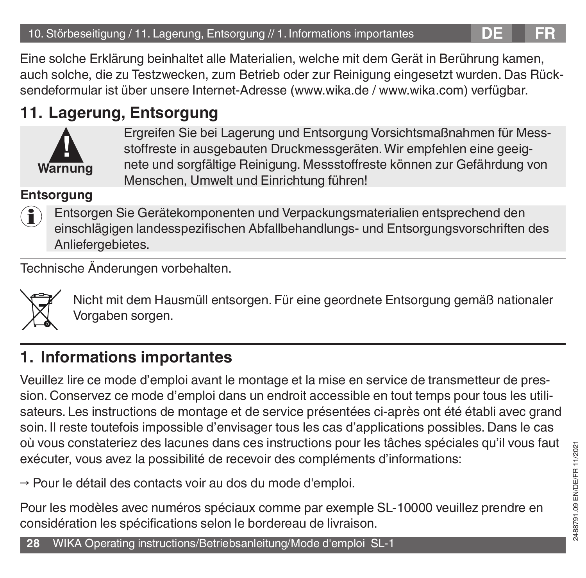**DE FR**

Eine solche Erklärung beinhaltet alle Materialien, welche mit dem Gerät in Berührung kamen, auch solche, die zu Testzwecken, zum Betrieb oder zur Reinigung eingesetzt wurden. Das Rücksendeformular ist über unsere Internet-Adresse (www.wika.de / www.wika.com) verfügbar.

## **11. Lagerung, Entsorgung**



Ergreifen Sie bei Lagerung und Entsorgung Vorsichtsmaßnahmen für Messstoffreste in ausgebauten Druckmessgeräten. Wir empfehlen eine geeignete und sorgfältige Reinigung. Messstoffreste können zur Gefährdung von Menschen, Umwelt und Einrichtung führen!

#### **Entsorgung**



Entsorgen Sie Gerätekomponenten und Verpackungsmaterialien entsprechend den einschlägigen landesspezifischen Abfallbehandlungs- und Entsorgungsvorschriften des Anliefergebietes.

Technische Änderungen vorbehalten.



Nicht mit dem Hausmüll entsorgen. Für eine geordnete Entsorgung gemäß nationaler Vorgaben sorgen.

# **1. Informations importantes**

Veuillez lire ce mode d'emploi avant le montage et la mise en service de transmetteur de pression. Conservez ce mode d'emploi dans un endroit accessible en tout temps pour tous les utilisateurs. Les instructions de montage et de service présentées ci-après ont été établi avec grand soin. Il reste toutefois impossible d'envisager tous les cas d'applications possibles. Dans le cas où vous constateriez des lacunes dans ces instructions pour les tâches spéciales qu'il vous faut exécuter, vous avez la possibilité de recevoir des compléments d'informations:

→ Pour le détail des contacts voir au dos du mode d'emploi.

Pour les modèles avec numéros spéciaux comme par exemple SL-10000 veuillez prendre en considération les spécifications selon le bordereau de livraison.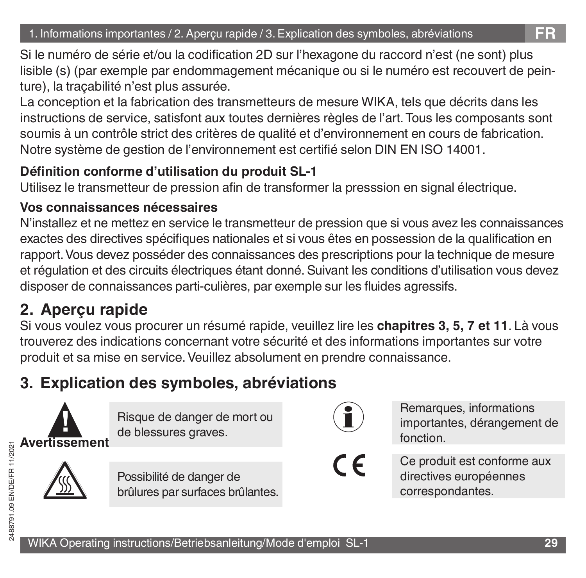Si le numéro de série et/ou la codification 2D sur l'hexagone du raccord n'est (ne sont) plus lisible (s) (par exemple par endommagement mécanique ou si le numéro est recouvert de peinture), la traçabilité n'est plus assurée.

La conception et la fabrication des transmetteurs de mesure WIKA, tels que décrits dans les instructions de service, satisfont aux toutes dernières règles de l'art. Tous les composants sont soumis à un contrôle strict des critères de qualité et d'environnement en cours de fabrication. Notre système de gestion de l'environnement est certifié selon DIN EN ISO 14001.

### **Définition conforme d'utilisation du produit SL-1**

Utilisez le transmetteur de pression afin de transformer la presssion en signal électrique.

#### **Vos connaissances nécessaires**

N'installez et ne mettez en service le transmetteur de pression que si vous avez les connaissances exactes des directives spécifiques nationales et si vous êtes en possession de la qualification en rapport. Vous devez posséder des connaissances des prescriptions pour la technique de mesure et régulation et des circuits électriques étant donné. Suivant les conditions d'utilisation vous devez disposer de connaissances parti-culières, par exemple sur les fluides agressifs.

# **2. Aperçu rapide**

Si vous voulez vous procurer un résumé rapide, veuillez lire les **chapitres 3, 5, 7 et 11**. Là vous trouverez des indications concernant votre sécurité et des informations importantes sur votre produit et sa mise en service. Veuillez absolument en prendre connaissance.

# **3. Explication des symboles, abréviations**





Possibilité de danger de brûlures par surfaces brûlantes.



Remarques, informations importantes, dérangement de fonction.

 $\epsilon$ 

Ce produit est conforme aux directives européennes correspondantes.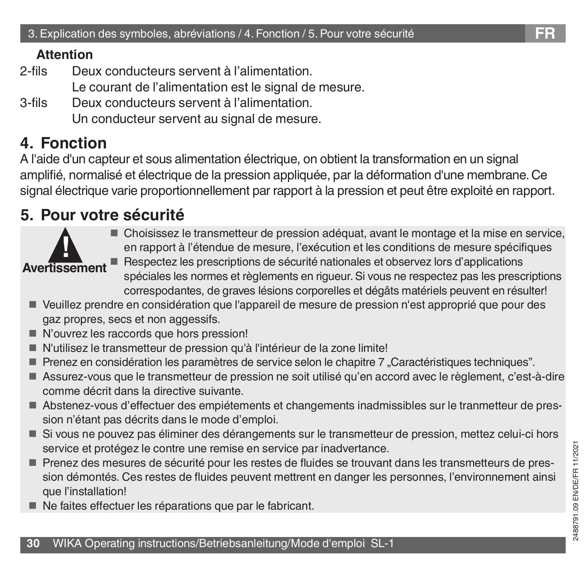#### **Attention**

- 2-fils Deux conducteurs servent à l'alimentation. Le courant de l'alimentation est le signal de mesure.<br>3-fils Deux conducteurs servent à l'alimentation.
- Deux conducteurs servent à l'alimentation. Un conducteur servent au signal de mesure.

# **4. Fonction**

A l'aide d'un capteur et sous alimentation électrique, on obtient la transformation en un signal amplifié, normalisé et électrique de la pression appliquée, par la déformation d'une membrane. Ce signal électrique varie proportionnellement par rapport à la pression et peut être exploité en rapport.

# **5. Pour votre sécurité**



- Choisissez le transmetteur de pression adéquat, avant le montage et la mise en service, en rapport à l'étendue de mesure, l'exécution et les conditions de mesure spécifiques Respectez les prescriptions de sécurité nationales et observez lors d'applications
	- spéciales les normes et règlements en rigueur. Si vous ne respectez pas les prescriptions correspodantes, de graves lésions corporelles et dégâts matériels peuvent en résulter!
- Veuillez prendre en considération que l'appareil de mesure de pression n'est approprié que pour des gaz propres, secs et non aggessifs.
- N'ouvrez les raccords que hors pression!
- N'utilisez le transmetteur de pression qu'à l'intérieur de la zone limite!
- Prenez en considération les paramètres de service selon le chapitre 7 "Caractéristiques techniques".
- Assurez-vous que le transmetteur de pression ne soit utilisé qu'en accord avec le règlement, c'est-à-dire comme décrit dans la directive suivante.
- Abstenez-vous d'effectuer des empiétements et changements inadmissibles sur le tranmetteur de pression n'étant pas décrits dans le mode d'emploi.
- Si vous ne pouvez pas éliminer des dérangements sur le transmetteur de pression, mettez celui-ci hors service et protégez le contre une remise en service par inadvertance.
- Prenez des mesures de sécurité pour les restes de fluides se trouvant dans les transmetteurs de pression démontés. Ces restes de fluides peuvent mettrent en danger les personnes, l'environnement ainsi que l'installation!
- Ne faites effectuer les réparations que par le fabricant.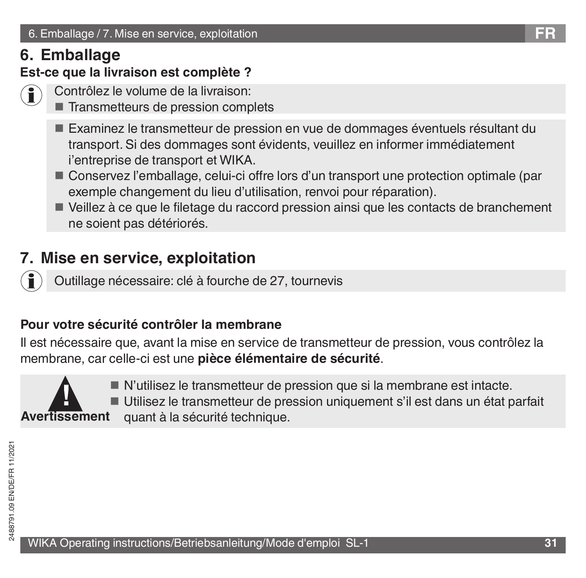# **6. Emballage**

- **Est-ce que la livraison est complète ?**
	- Contrôlez le volume de la livraison:
		- Transmetteurs de pression complets
		- Examinez le transmetteur de pression en vue de dommages éventuels résultant du transport. Si des dommages sont évidents, veuillez en informer immédiatement i'entreprise de transport et WIKA.
		- Conservez l'emballage, celui-ci offre lors d'un transport une protection optimale (par exemple changement du lieu d'utilisation, renvoi pour réparation).
		- Veillez à ce que le filetage du raccord pression ainsi que les contacts de branchement ne soient pas détériorés.

## **7. Mise en service, exploitation**

Outillage nécessaire: clé à fourche de 27, tournevis

#### **Pour votre sécurité contrôler la membrane**

Il est nécessaire que, avant la mise en service de transmetteur de pression, vous contrôlez la membrane, car celle-ci est une **pièce élémentaire de sécurité**.



 N'utilisez le transmetteur de pression que si la membrane est intacte. Utilisez le transmetteur de pression uniquement s'il est dans un état parfait quant à la sécurité technique.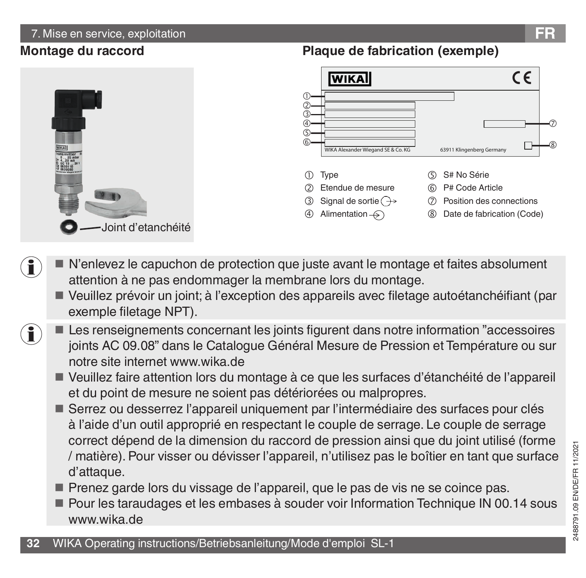Î)





- N'enlevez le capuchon de protection que juste avant le montage et faites absolument  $\mathbf{1}$ attention à ne pas endommager la membrane lors du montage.
	- Veuillez prévoir un joint; à l'exception des appareils avec filetage autoétanchéifiant (par exemple filetage NPT).
	- Les renseignements concernant les joints figurent dans notre information "accessoires" joints AC 09.08" dans le Catalogue Général Mesure de Pression et Température ou sur notre site internet www.wika.de
		- Veuillez faire attention lors du montage à ce que les surfaces d'étanchéité de l'appareil et du point de mesure ne soient pas détériorées ou malpropres.
		- Serrez ou desserrez l'appareil uniquement par l'intermédiaire des surfaces pour clés à l'aide d'un outil approprié en respectant le couple de serrage. Le couple de serrage correct dépend de la dimension du raccord de pression ainsi que du joint utilisé (forme / matière). Pour visser ou dévisser l'appareil, n'utilisez pas le boîtier en tant que surface d'attaque.
		- Prenez garde lors du vissage de l'appareil, que le pas de vis ne se coince pas.
		- Pour les taraudages et les embases à souder voir Information Technique IN 00.14 sous www.wika.de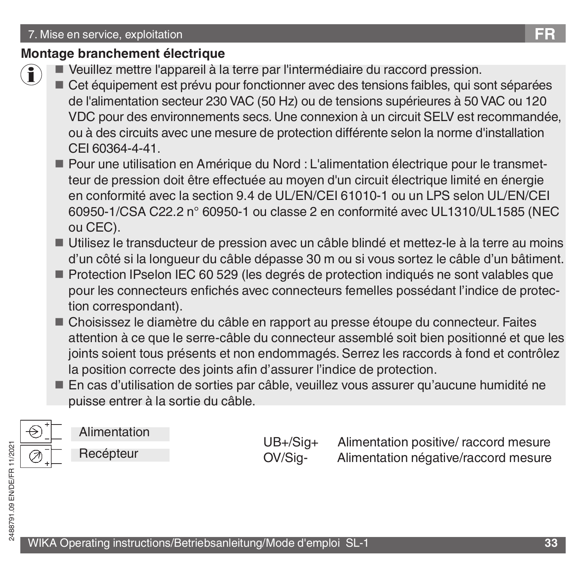#### **Montage branchement électrique**

- Veuillez mettre l'appareil à la terre par l'intermédiaire du raccord pression.
- Cet équipement est prévu pour fonctionner avec des tensions faibles, qui sont séparées de l'alimentation secteur 230 VAC (50 Hz) ou de tensions supérieures à 50 VAC ou 120 VDC pour des environnements secs. Une connexion à un circuit SELV est recommandée, ou à des circuits avec une mesure de protection différente selon la norme d'installation CEI 60364-4-41.
- Pour une utilisation en Amérique du Nord : L'alimentation électrique pour le transmetteur de pression doit être effectuée au moyen d'un circuit électrique limité en énergie en conformité avec la section 9.4 de UL/EN/CEI 61010-1 ou un LPS selon UL/EN/CEI 60950-1/CSA C22.2 n° 60950-1 ou classe 2 en conformité avec UL1310/UL1585 (NEC ou CEC).
- Utilisez le transducteur de pression avec un câble blindé et mettez-le à la terre au moins d'un côté si la longueur du câble dépasse 30 m ou si vous sortez le câble d'un bâtiment.
- Protection IPselon IEC 60 529 (les degrés de protection indiqués ne sont valables que pour les connecteurs enfichés avec connecteurs femelles possédant l'indice de protection correspondant).
- Choisissez le diamètre du câble en rapport au presse étoupe du connecteur. Faites attention à ce que le serre-câble du connecteur assemblé soit bien positionné et que les joints soient tous présents et non endommagés. Serrez les raccords à fond et contrôlez la position correcte des joints afin d'assurer l'indice de protection.
- En cas d'utilisation de sorties par câble, veuillez vous assurer qu'aucune humidité ne puisse entrer à la sortie du câble.

 $\bf G$ 

Alimentation

Recépteur

UB+/Sig+ Alimentation positive/ raccord mesure OV/Sig- Alimentation négative/raccord mesure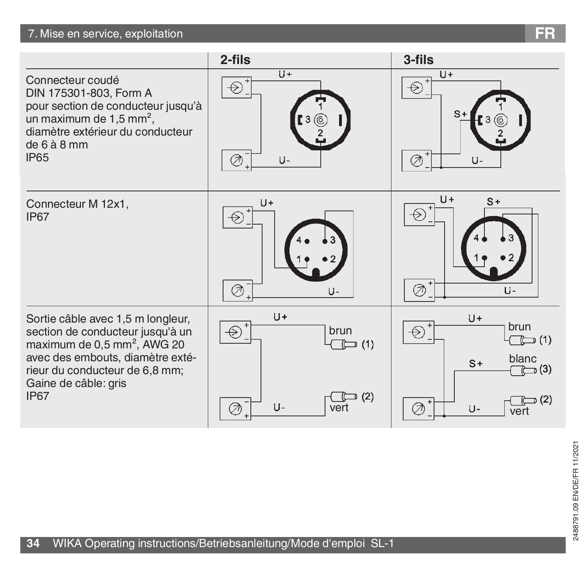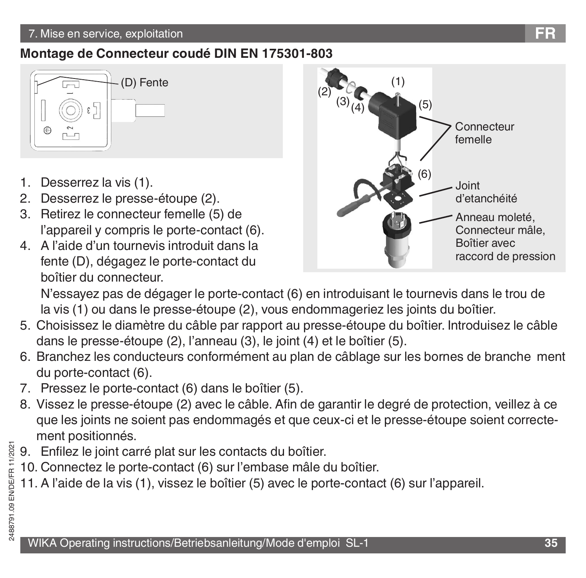#### **Montage de Connecteur coudé DIN EN 175301-803**



- 1. Desserrez la vis (1).
- 2. Desserrez le presse-étoupe (2).
- 3. Retirez le connecteur femelle (5) de l'appareil y compris le porte-contact (6).
- 4. A l'aide d'un tournevis introduit dans la fente (D), dégagez le porte-contact du boîtier du connecteur.



N'essayez pas de dégager le porte-contact (6) en introduisant le tournevis dans le trou de la vis (1) ou dans le presse-étoupe (2), vous endommageriez les joints du boîtier.

- 5. Choisissez le diamètre du câble par rapport au presse-étoupe du boîtier. Introduisez le câble dans le presse-étoupe (2), l'anneau (3), le joint (4) et le boîtier (5).
- 6. Branchez les conducteurs conformément au plan de câblage sur les bornes de branche ment du porte-contact (6).
- 7. Pressez le porte-contact (6) dans le boîtier (5).
- 8. Vissez le presse-étoupe (2) avec le câble. Afin de garantir le degré de protection, veillez à ce que les joints ne soient pas endommagés et que ceux-ci et le presse-étoupe soient correctement positionnés.
- 9. Enfilez le joint carré plat sur les contacts du boîtier.
- 10. Connectez le porte-contact (6) sur l'embase mâle du boîtier.
- 11. A l'aide de la vis (1), vissez le boîtier (5) avec le porte-contact (6) sur l'appareil.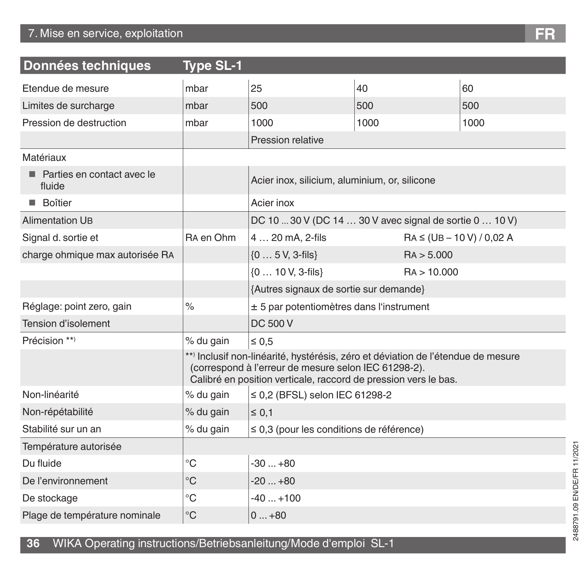| Données techniques                   | <b>Type SL-1</b> |                                                                                                                                                                                                             |                                                         |                                |
|--------------------------------------|------------------|-------------------------------------------------------------------------------------------------------------------------------------------------------------------------------------------------------------|---------------------------------------------------------|--------------------------------|
| Etendue de mesure                    | mbar             | 25                                                                                                                                                                                                          | 40                                                      | 60                             |
| Limites de surcharge                 | mbar             | 500                                                                                                                                                                                                         | 500                                                     | 500                            |
| Pression de destruction              | mbar             | 1000                                                                                                                                                                                                        | 1000                                                    | 1000                           |
|                                      |                  | Pression relative                                                                                                                                                                                           |                                                         |                                |
| Matériaux                            |                  |                                                                                                                                                                                                             |                                                         |                                |
| Parties en contact avec le<br>fluide |                  | Acier inox, silicium, aluminium, or, silicone                                                                                                                                                               |                                                         |                                |
| Boîtier                              |                  | Acier inox                                                                                                                                                                                                  |                                                         |                                |
| <b>Alimentation UB</b>               |                  |                                                                                                                                                                                                             | DC 10  30 V (DC 14  30 V avec signal de sortie 0  10 V) |                                |
| Signal d. sortie et                  | RA en Ohm        | 4  20 mA. 2-fils                                                                                                                                                                                            |                                                         | $RA \leq (UB - 10 V) / 0.02 A$ |
| charge ohmique max autorisée RA      |                  | ${0 5 V, 3-fils}$                                                                                                                                                                                           | RA > 5.000                                              |                                |
|                                      |                  | $\{0 \dots 10 \text{ V}, 3\text{-fils}\}$                                                                                                                                                                   | RA > 10.000                                             |                                |
|                                      |                  | {Autres signaux de sortie sur demande}                                                                                                                                                                      |                                                         |                                |
| Réglage: point zero, gain            | $\%$             | $± 5$ par potentiomètres dans l'instrument                                                                                                                                                                  |                                                         |                                |
| Tension d'isolement                  |                  | <b>DC 500 V</b>                                                                                                                                                                                             |                                                         |                                |
| Précision **)                        | % du gain        | $\leq 0.5$                                                                                                                                                                                                  |                                                         |                                |
|                                      |                  | **) Inclusif non-linéarité, hystérésis, zéro et déviation de l'étendue de mesure<br>(correspond à l'erreur de mesure selon IEC 61298-2).<br>Calibré en position verticale, raccord de pression vers le bas. |                                                         |                                |
| Non-linéarité                        | % du gain        | $\leq$ 0,2 (BFSL) selon IEC 61298-2                                                                                                                                                                         |                                                         |                                |
| Non-répétabilité                     | % du gain        | $\leq 0.1$                                                                                                                                                                                                  |                                                         |                                |
| Stabilité sur un an                  | % du gain        | $\leq$ 0,3 (pour les conditions de référence)                                                                                                                                                               |                                                         |                                |
| Température autorisée                |                  |                                                                                                                                                                                                             |                                                         |                                |
| Du fluide                            | °C               | $-30+80$                                                                                                                                                                                                    |                                                         |                                |
| De l'environnement                   | $^{\circ}$ C     | $-20+80$                                                                                                                                                                                                    |                                                         |                                |
| De stockage                          | °C               | $-40+100$                                                                                                                                                                                                   |                                                         |                                |
| Plage de température nominale        | °C               | $0+80$                                                                                                                                                                                                      |                                                         |                                |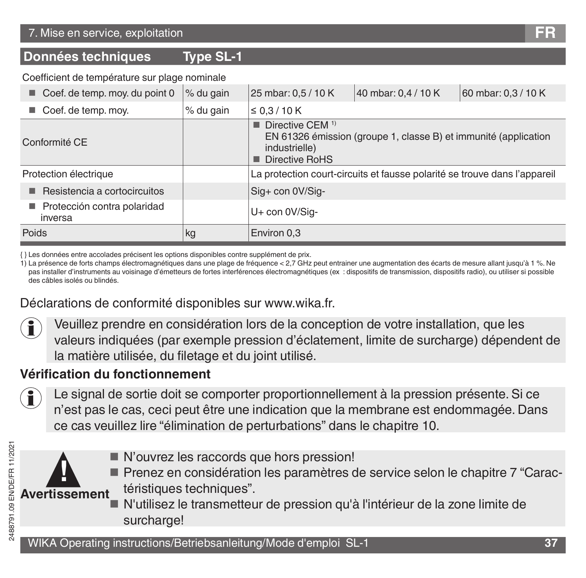#### **Données techniques Type SL-1**

Coefficient de température sur plage nominale

| $\Box$ Coef. de temp. moy. du point 0    | % du gain | 25 mbar: 0,5 / 10 K                                                           | 40 mbar: 0,4 / 10 K                                                       | 60 mbar: 0,3 / 10 K |
|------------------------------------------|-----------|-------------------------------------------------------------------------------|---------------------------------------------------------------------------|---------------------|
| Coef. de temp. moy.                      | % du gain | $\leq$ 0.3/10 K                                                               |                                                                           |                     |
| Conformité CE                            |           | $\blacksquare$ Directive CEM <sup>1)</sup><br>industrielle)<br>Directive RoHS | EN 61326 émission (groupe 1, classe B) et immunité (application           |                     |
| Protection électrique                    |           |                                                                               | La protection court-circuits et fausse polarité se trouve dans l'appareil |                     |
| Resistencia a cortocircuitos             |           | Sig+ con 0V/Sig-                                                              |                                                                           |                     |
| ■ Protección contra polaridad<br>inversa |           | U+ con 0V/Sig-                                                                |                                                                           |                     |
| Poids                                    | kg        | Environ 0,3                                                                   |                                                                           |                     |

{ } Les données entre accolades précisent les options disponibles contre supplément de prix.

1) La présence de forts champs électromagnétiques dans une plage de fréquence < 2,7 GHz peut entrainer une augmentation des écarts de mesure allant jusqu'à 1 %. Ne pas installer d'instruments au voisinage d'émetteurs de fortes interférences électromagnétiques (ex : dispositifs de transmission, dispositifs radio), ou utiliser si possible des câbles isolés ou blindés.

Déclarations de conformité disponibles sur www.wika.fr.



Veuillez prendre en considération lors de la conception de votre installation, que les valeurs indiquées (par exemple pression d'éclatement, limite de surcharge) dépendent de la matière utilisée, du filetage et du joint utilisé.

#### **Vérification du fonctionnement**



Le signal de sortie doit se comporter proportionnellement à la pression présente. Si ce n'est pas le cas, ceci peut être une indication que la membrane est endommagée. Dans ce cas veuillez lire "élimination de perturbations" dans le chapitre 10.



N'ouvrez les raccords que hors pression!



 N'utilisez le transmetteur de pression qu'à l'intérieur de la zone limite de surcharge!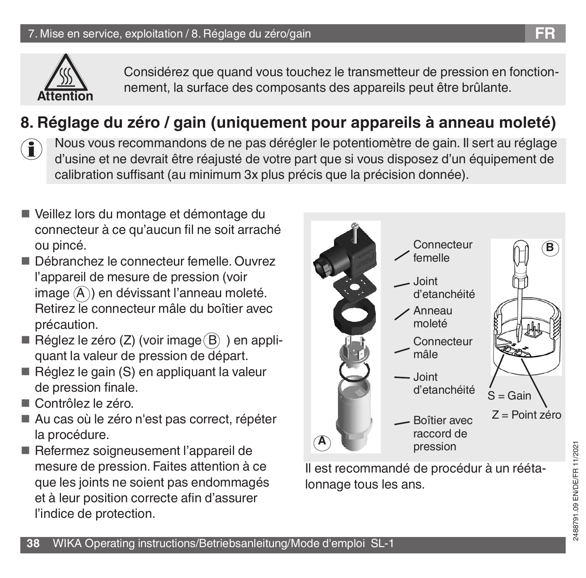

Considérez que quand vous touchez le transmetteur de pression en fonctionnement, la surface des composants des appareils peut être brûlante.

# **8. Réglage du zéro / gain (uniquement pour appareils à anneau moleté)**

Nous vous recommandons de ne pas dérégler le potentiomètre de gain. Il sert au réglage d'usine et ne devrait être réajusté de votre part que si vous disposez d'un équipement de calibration suffisant (au minimum 3x plus précis que la précision donnée).

- Veillez lors du montage et démontage du connecteur à ce qu'aucun fil ne soit arraché ou pincé.
- Débranchez le connecteur femelle. Ouvrez l'appareil de mesure de pression (voir  $image(A)$ ) en dévissant l'anneau moleté. Retirez le connecteur mâle du boîtier avec précaution.
- Réglez le zéro (Z) (voir image  $(B)$ ) en appliquant la valeur de pression de départ.
- Réglez le gain (S) en appliquant la valeur de pression finale.
- Contrôlez le zéro.
- Au cas où le zéro n'est pas correct, répéter la procédure.
- Refermez soigneusement l'appareil de mesure de pression. Faites attention à ce que les joints ne soient pas endommagés et à leur position correcte afin d'assurer l'indice de protection.



Il est recommandé de procédur à un réétalonnage tous les ans.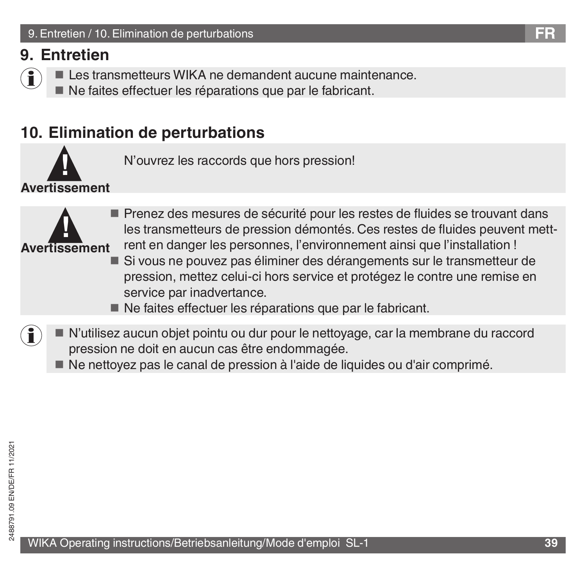## **9. Entretien**

Les transmetteurs WIKA ne demandent aucune maintenance.

Ne faites effectuer les réparations que par le fabricant.

# **10. Elimination de perturbations**

N'ouvrez les raccords que hors pression!





- Si vous ne pouvez pas éliminer des dérangements sur le transmetteur de pression, mettez celui-ci hors service et protégez le contre une remise en service par inadvertance.
- Ne faites effectuer les réparations que par le fabricant.
- N'utilisez aucun objet pointu ou dur pour le nettoyage, car la membrane du raccord pression ne doit en aucun cas être endommagée.
	- Ne nettoyez pas le canal de pression à l'aide de liquides ou d'air comprimé.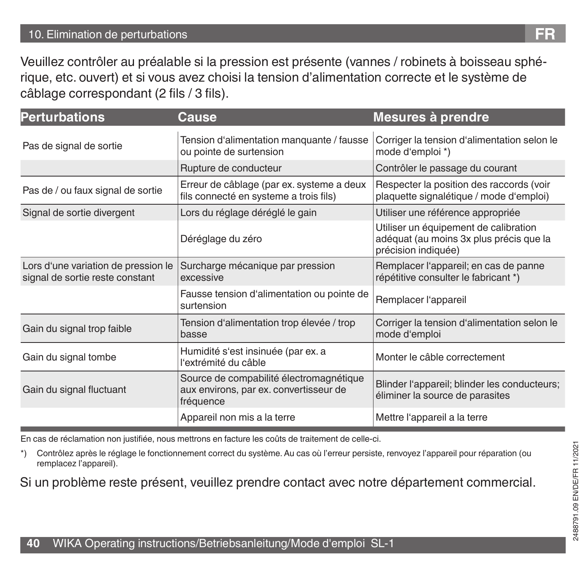Veuillez contrôler au préalable si la pression est présente (vannes / robinets à boisseau sphérique, etc. ouvert) et si vous avez choisi la tension d'alimentation correcte et le système de câblage correspondant (2 fils / 3 fils).

| <b>Perturbations</b>                                                   | Cause                                                                                          | Mesures à prendre                                                                                       |
|------------------------------------------------------------------------|------------------------------------------------------------------------------------------------|---------------------------------------------------------------------------------------------------------|
| Pas de signal de sortie                                                | Tension d'alimentation manquante / fausse<br>ou pointe de surtension                           | Corriger la tension d'alimentation selon le<br>mode d'emploi *)                                         |
|                                                                        | Rupture de conducteur                                                                          | Contrôler le passage du courant                                                                         |
| Pas de / ou faux signal de sortie                                      | Erreur de câblage (par ex. systeme a deux<br>fils connecté en systeme a trois fils)            | Respecter la position des raccords (voir<br>plaquette signalétique / mode d'emploi)                     |
| Signal de sortie divergent                                             | Lors du réglage déréglé le gain                                                                | Utiliser une référence appropriée                                                                       |
|                                                                        | Déréglage du zéro                                                                              | Utiliser un équipement de calibration<br>adéquat (au moins 3x plus précis que la<br>précision indiquée) |
| Lors d'une variation de pression le<br>signal de sortie reste constant | Surcharge mécanique par pression<br>excessive                                                  | Remplacer l'appareil; en cas de panne<br>répétitive consulter le fabricant *)                           |
|                                                                        | Fausse tension d'alimentation ou pointe de<br>surtension                                       | Remplacer l'appareil                                                                                    |
| Gain du signal trop faible                                             | Tension d'alimentation trop élevée / trop<br>basse                                             | Corriger la tension d'alimentation selon le<br>mode d'emploi                                            |
| Gain du signal tombe                                                   | Humidité s'est insinuée (par ex. a<br>l'extrémité du câble                                     | Monter le câble correctement                                                                            |
| Gain du signal fluctuant                                               | Source de compabilité électromagnétique<br>aux environs, par ex. convertisseur de<br>fréquence | Blinder l'appareil; blinder les conducteurs;<br>éliminer la source de parasites                         |
|                                                                        | Appareil non mis a la terre                                                                    | Mettre l'appareil a la terre                                                                            |

En cas de réclamation non justifiée, nous mettrons en facture les coûts de traitement de celle-ci.

\*) Contrôlez après le réglage le fonctionnement correct du système. Au cas où l'erreur persiste, renvoyez l'appareil pour réparation (ou remplacez l'appareil).

Si un problème reste présent, veuillez prendre contact avec notre département commercial.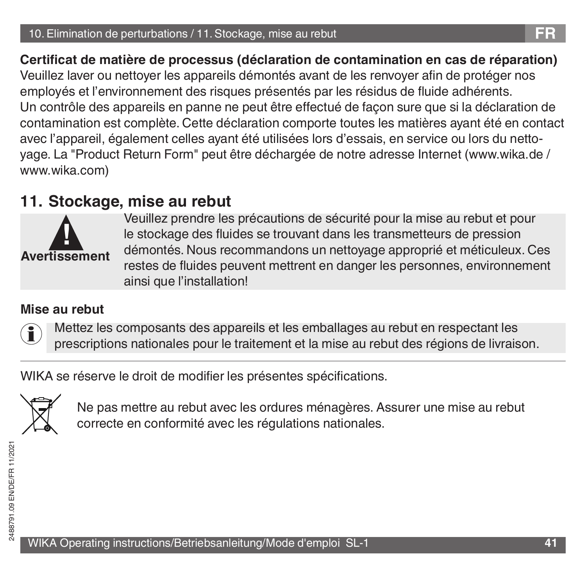**Certificat de matière de processus (déclaration de contamination en cas de réparation)**

Veuillez laver ou nettoyer les appareils démontés avant de les renvoyer afin de protéger nos employés et l'environnement des risques présentés par les résidus de fluide adhérents. Un contrôle des appareils en panne ne peut être effectué de façon sure que si la déclaration de contamination est complète. Cette déclaration comporte toutes les matières ayant été en contact avec l'appareil, également celles ayant été utilisées lors d'essais, en service ou lors du nettoyage. La "Product Return Form" peut être déchargée de notre adresse Internet (www.wika.de / www.wika.com)

## **11. Stockage, mise au rebut**



Veuillez prendre les précautions de sécurité pour la mise au rebut et pour le stockage des fluides se trouvant dans les transmetteurs de pression démontés. Nous recommandons un nettoyage approprié et méticuleux. Ces restes de fluides peuvent mettrent en danger les personnes, environnement ainsi que l'installation!

#### **Mise au rebut**



Mettez les composants des appareils et les emballages au rebut en respectant les prescriptions nationales pour le traitement et la mise au rebut des régions de livraison.

WIKA se réserve le droit de modifier les présentes spécifications.



Ne pas mettre au rebut avec les ordures ménagères. Assurer une mise au rebut correcte en conformité avec les régulations nationales.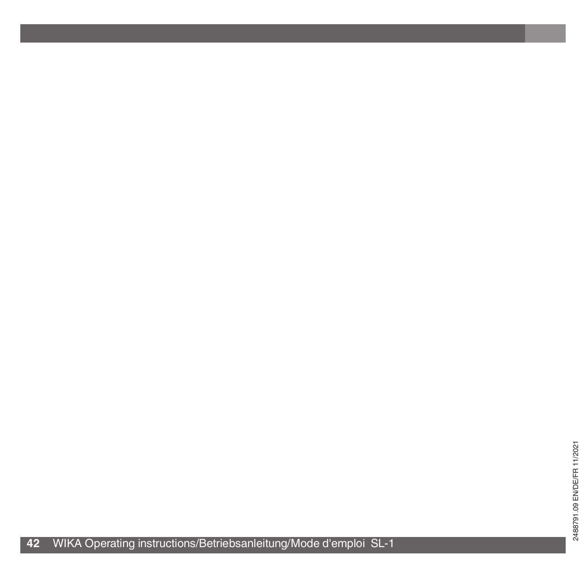#### **42** WIKA Operating instructions/Betriebsanleitung/Mode d'emploi SL-1